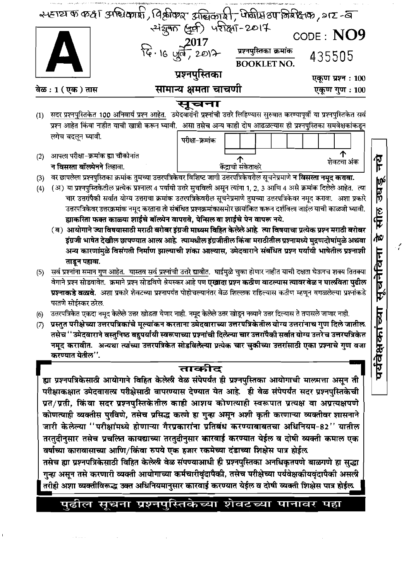|     | 24 ETEI का कक्ष अस्थिकारी, विश्लीकार अद्याकारी, पोषीस 8पानिर्मेक्ष का , 217-वाल करता अस्थित करने से अर्था                                                                                                                                                        |                             |                                       |                   |
|-----|------------------------------------------------------------------------------------------------------------------------------------------------------------------------------------------------------------------------------------------------------------------|-----------------------------|---------------------------------------|-------------------|
|     |                                                                                                                                                                                                                                                                  |                             |                                       | CODE: NO9         |
|     | $\blacktriangle$                                                                                                                                                                                                                                                 | $R_{e}$ . 16 $Q_{0} = 2017$ | प्रश्नपुस्तिका क्रमांक<br>BOOKLET NO. | 435505            |
|     |                                                                                                                                                                                                                                                                  | प्रश्नपुस्तिका              |                                       | एकूण प्रश्न : 100 |
|     | वेळ : 1 ( एक ) तास                                                                                                                                                                                                                                               | सामान्य क्षमता चाचणी        |                                       | एकूण गुण: 100     |
|     |                                                                                                                                                                                                                                                                  | सूचना                       |                                       |                   |
| (1) | सदर प्रश्नपुस्तिकेत 100 अनिवार्य प्रश्न आहेत. उमेदवारांनी प्रश्नांची उत्तरे लिहिण्यास सुरुवात करण्यापूर्वी या प्रश्नपुस्तिकेत सर्व<br>प्रश्न आहेत किंवा नाहीत याची खात्री करून घ्यावी.  असा तसेच अन्य काही दोष आढळल्यास ही प्रश्नपुस्तिका समवेक्षकांकडून         |                             |                                       |                   |
|     | लगेच बदलून घ्यावी.                                                                                                                                                                                                                                               |                             |                                       |                   |
|     |                                                                                                                                                                                                                                                                  | परीक्षा-क्रमांक             |                                       |                   |
| (2) | आपला परीक्षा-क्रमांक ह्या चौकोनांत                                                                                                                                                                                                                               |                             | <b>्री</b><br>केंद्राची संकेताक्षरे   | शेवटचा अंक        |
|     | न विसरता बॉल्प्रेनने लिहावा.                                                                                                                                                                                                                                     |                             |                                       |                   |
| (3) | वर छापलेला प्रश्नपुस्तिका क्रमांक तुमच्या उत्तरपत्रिकेवर विशिष्ट जागी उत्तरपत्रिकेवरील सूचनेप्रमाणे <b>न विसरता नमूद करावा.</b><br>(अ) या प्रश्नपुस्तिकेतील प्रत्येक प्रश्नाला 4 पर्यायी उत्तरे सुचविली असून त्यांना 1, 2, 3 आणि 4 असे क्रमांक दिलेले आहेत. त्या |                             |                                       |                   |
| (4) | चार उत्तरांपैकी सर्वात योग्य उत्तराचा क्रमांक उत्तरपत्रिकेवरील सूचनेप्रमाणे तुमच्या उत्तरपत्रिकेवर नमूद करावा.  अशा प्रकारे                                                                                                                                      |                             |                                       |                   |
|     | उत्तरपत्रिकेवर उत्तरक्रमांक नमूद करताना तो संबंधित प्रश्नक्रमांकासमोर छायांकित करून दर्शविला जाईल याची काळजी घ्यावी.                                                                                                                                             |                             |                                       |                   |
|     | ह्याकरिता फक्त काळ्या शाईचे बॉल्प्रेन वापरावे, पेन्सिल वा शाईचे पेन वापरू नये.                                                                                                                                                                                   |                             |                                       |                   |
|     | ( ब) आयोगाने ज्या विषयासाठी मराठी बरोबर इंग्रजी माध्यम विहित केलेलेआहे. त्या विषयाचा प्रत्येक प्रश्न मराठी बरोबर                                                                                                                                                 |                             |                                       |                   |
|     | इंग्रजी भाषेत देखील छापण्यात आला आहे.  त्यामधील इंग्रजीतील किंवा मराठीतील प्रश्नामध्ये मुद्रणदोषांमुळे अथवा                                                                                                                                                      |                             |                                       |                   |
|     | अन्य कारणांमुळे विसंगती निर्माण झाल्याची शंका आल्यास, उमेदवाराने संबंधित प्रश्न पर्यायी भाषेतील प्रश्नाशी                                                                                                                                                        |                             |                                       |                   |
|     | ताडून पहावा.                                                                                                                                                                                                                                                     |                             |                                       |                   |
| (5) | सर्व प्रश्नांना समान गुण आहेत. यास्तव सर्व प्रश्नांची उत्तरे द्यावीत. घाईमुळे चुका होणार नाहीत याची दक्षता घेऊनच शक्य तितक्या                                                                                                                                    |                             |                                       |                   |
|     | वेगाने प्रश्न सोडवावेत.  क्रमाने प्रश्न सोडविणे श्रेयस्कर आहे पण <b>एखादा प्रश्न कठीण वाटल्यास त्यावर वेळ न घालविता पुढील</b><br>प्रश्नाकडे वळावे. अशा प्रकारे शेवटच्या प्रश्नापर्यंत पोहोचल्यानंतर वेळ शिल्लक राहिल्यास कठीण म्हणून वगळलेल्या प्रश्नांकडे       |                             |                                       |                   |
|     | परतणे सोईस्कर ठरेल.                                                                                                                                                                                                                                              |                             |                                       |                   |
| (6) | उत्तरपत्रिकेत एकदा नमूद केल्ले उत्तर खोडता येणार नाही. नमूद केल्ले उत्तर खोडून नव्याने उत्तर दिल्यास ते तपासले जाणार नाही.                                                                                                                                       |                             |                                       |                   |
| (7) | ्प्रस्तुत परीक्षेच्या उत्तरपत्रिकांचे मूल्यांकन करताना उमेदवाराच्या उत्तरपत्रिकेतील योग्य उत्तरांनाच गुण दिले जातील.                                                                                                                                             |                             |                                       |                   |
|     | तसेच ''उमेदवाराने वस्तुनिष्ठ बहुपर्यायी स्वरूपाच्या प्रश्नांची दिलेल्या चार उत्तरांपैकी सर्वात योग्य उत्तरेच उत्तरपत्रिकेत                                                                                                                                       |                             |                                       |                   |
|     | नमूद करावीत.  अन्यथा त्यांच्या उत्तरपत्रिकेत सोडविलेल्या प्रत्येक चार चुकीच्या उत्तरांसाठी एका प्रश्नाचे गुण वजा                                                                                                                                                 |                             |                                       |                   |
|     | करण्यात येतील''.                                                                                                                                                                                                                                                 |                             |                                       |                   |
|     |                                                                                                                                                                                                                                                                  | ताकीट                       |                                       |                   |
|     | ह्या प्रश्नपत्रिकेसाठी आयोगाने विहित केलेली वेळ संपेपर्यंत ही प्रश्नपुस्तिका आयोगाची मालमत्ता असून ती                                                                                                                                                            |                             |                                       |                   |
|     | परीक्षाकक्षात उमेदवाराला परीक्षेसाठी वापरण्यास देण्यात येत आहे. ही वेळ संपेपर्यंत सदर प्रश्नपुस्तिकेची                                                                                                                                                           |                             |                                       |                   |
|     | प्रत/प्रती, किंवा सदर प्रश्नपुस्तिकेतील काही आशय कोणत्याही स्वरूपात प्रत्यक्ष वा अप्रत्यक्षपणे                                                                                                                                                                   |                             |                                       |                   |
|     | कोणत्याही व्यक्तीस पुरविणे, तसेच प्रसिद्ध करणे हा गुन्हा असून अशी कृती करणाच्या व्यक्तीवर शासनाने                                                                                                                                                                |                             |                                       |                   |
|     | जारी केलेल्या ''परीक्षांमध्ये होणाऱ्या गैरप्रकारांना प्रतिबंध करण्याबाबतचा अधिनियम-82'' यातील                                                                                                                                                                    |                             |                                       |                   |
|     | तरतुदीनुसार तसेच प्रचल्प्रित कायद्याच्या तरतुदीनुसार कारवाई करण्यात येईल व दोषी व्यक्ती कमाल एक                                                                                                                                                                  |                             |                                       |                   |
|     | वर्षाच्या कारावासाच्या आणि/किंवा रुपये एक हजार रकमेच्या दंडाच्या शिक्षेस पात्र होईल                                                                                                                                                                              |                             |                                       |                   |
|     | तसेच ह्या प्रश्नपत्रिकेसाठी विहित केलेली वेळ संपण्याआधी ही प्रश्नपुस्तिका अनधिकृतपणे बाळगणे हा सुद्धा                                                                                                                                                            |                             |                                       |                   |
|     | गुऱ्हा असून तसे करणारी व्यक्ती आयोगाच्या कर्मचारीवृंदापैकी, तसेच परीक्षेच्या पर्यवेक्षकीयवृंदापैकी असली                                                                                                                                                          |                             |                                       |                   |
|     | तरीही अशा व्यक्तीविरूद्ध उक्त अधिनियमानुसार कारवाई करण्यात येईल व दोषी व्यक्ती शिक्षेस पात्र होईल                                                                                                                                                                |                             |                                       |                   |
|     |                                                                                                                                                                                                                                                                  |                             |                                       |                   |
|     | पुढील सूचना प्रश्नपुस्तिकेच्या शेवटच्या पानावर पहा                                                                                                                                                                                                               |                             |                                       |                   |
|     |                                                                                                                                                                                                                                                                  |                             |                                       |                   |

 $\mathbf{I}$ 

पथवक्षकाच्या सूचनावना ह साल उधडू नय

 $\mathcal{L}$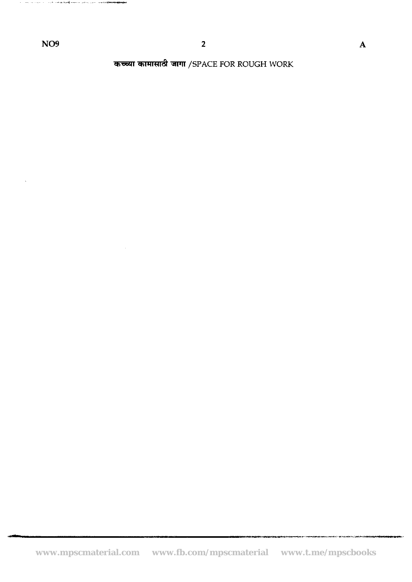the contract of the complete complete and contract the method of

 $\mathcal{A}^{\prime}$ 

**कच्च्या कामासाठी जागा /SPACE FOR ROUGH WORK**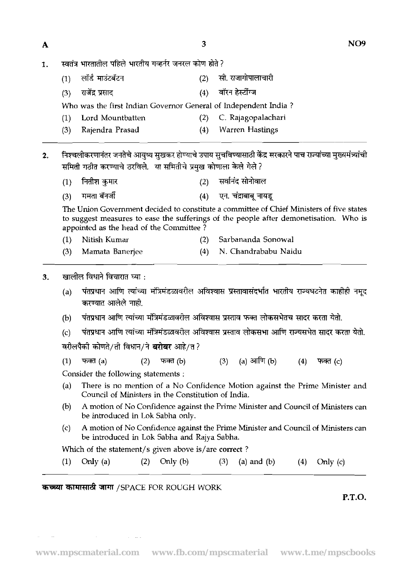$\overline{\mathbf{3}}$ 

- 1. स्वतंत्र भारतातील पहिले भारतीय गव्हर्नर जनरल कोण होते ?
	- (1) लॉर्ड माउंटबॅटन **(2) सी. राजागोपालाचा**री
	- (3) +Em (4) **bin m**

Who was the first Indian Governor General of Independent India ?

- (1) Lord Mountbatten (2) C. Rajagopalachari
- (3) Rajendra Prasad (4) Warren Hastings

निश्चलीकरणानंतर जनतेचे आयुष्य सखकर होण्याचे उपाय सूचविण्यासाठी केंद्र सरकारने पाच राज्यांच्या मुख्यमंत्र्यांची  $2.$ समिती गठीत करण्याचे ठरविले. या समितीचे प्रमुख कोणाला केले गेले?

- सर्वानंद सोनोवाल नितीश कुमार  $(2)$  $(1)$
- ममता बॅनर्जी एन. चंद्राबाबू नायडू  $(3)$  $(4)$

The Union Government decided to constitute a committee of Chief Ministers of five states to suggest measures to ease the sufferings of the people after demonetisation. Who is appointed as the head of the Committee ?

- (1) Nitish Kumar (2) Sarbananda Sonowal
- (3) Mamata Banerjee (4) N. Chandrababu Naidu
- $\overline{\mathbf{3}}$ .
- .- . (a) -ern m M **91a~sc614i~1** && PTRiitq & **w&?**  पंतप्रधान आणि त्यांच्या मंत्रिमंडळावरील अविश्वास प्रस्तावासंदर्भात भारतीय रा<br>करण्यात आलेले नाही.
	- पंतप्रधान आणि त्यांच्या मंत्रिमंडळावरील अविश्वास प्रस्ताव फक्त लोकसभेतच सादर करता येतो.  $(b)$
	- पंतप्रधान आणि त्यांच्या मंत्रिमंडळावरील अविश्वास प्रस्ताव लोकसभा आणि राज्यसभेत सादर करता येतो.  $(c)$
	- वरीलपैकी कोणते/ती विधान/ने बरोबर आहे/त?

 $(1)$ फक्त $(a)$  $(2)$ फक्त $(b)$  $(3)$ (a) आणि (b)  $(4)$ फक्त $(c)$ 

Consider the following statements :

- (a) There is no mention of a No Confidence Motion against the Prime Minister and Council of Ministers in the Constitution of India.
- @) A motion of No Confidence against the Prime Minister and Council of Ministers can be introduced in Lok Sabha only.
- (c) A motion of No Confidence against the Prime Minister and Council of Ministers can be introduced in Lok Sabha and Rajya Sabha.

Which of the statement/s given above is/are correct ?

 $(1)$ Only  $(a)$  $(2)$ Only  $(b)$  $(3)$  $(a)$  and  $(b)$  $(4)$ Only  $(c)$ 

# **कच्च्या कामासाठी जागा** /SPACE FOR ROUGH WORK

فالقدام والمتارين

**P.T.O.**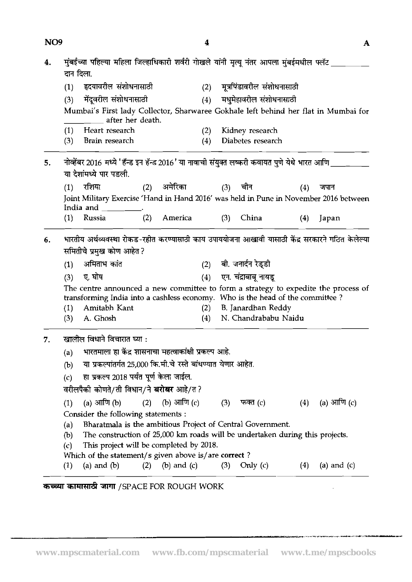| NO <sub>9</sub> |                          |                                                                                                                                                                                                                                                                                                                                                           | 4                 |     |                                                                                              |     | A             |
|-----------------|--------------------------|-----------------------------------------------------------------------------------------------------------------------------------------------------------------------------------------------------------------------------------------------------------------------------------------------------------------------------------------------------------|-------------------|-----|----------------------------------------------------------------------------------------------|-----|---------------|
| 4.              | दान दिला.                | मुंबईंच्या पहिल्या महिला जिल्हाधिकारी शर्वरी गोखले यांनी मृत्यू नंतर आपला मुंबईमधील फ्लॅट _                                                                                                                                                                                                                                                               |                   |     |                                                                                              |     |               |
|                 | (1)                      | हृदयावरील संशोधनासाठी                                                                                                                                                                                                                                                                                                                                     | (2)               |     | मूत्रपिंडावरील संशोधनासाठी                                                                   |     |               |
|                 | (3)                      | मेंदूवरील संशोधनासाठी                                                                                                                                                                                                                                                                                                                                     | (4)               |     | मधुमेहावरील संशोधनासाठी                                                                      |     |               |
|                 |                          | Mumbai's First lady Collector, Sharwaree Gokhale left behind her flat in Mumbai for<br>after her death.                                                                                                                                                                                                                                                   |                   |     |                                                                                              |     |               |
|                 | (1)                      | Heart research                                                                                                                                                                                                                                                                                                                                            | (2)               |     | Kidney research                                                                              |     |               |
|                 | (3)                      | Brain research                                                                                                                                                                                                                                                                                                                                            | (4)               |     | Diabetes research                                                                            |     |               |
| 5.              |                          | नोव्हेंबर 2016 मध्ये 'हॅन्ड इन हॅन्ड 2016' या नावाची संयुक्त लष्करी कवायत पुणे येथे भारत आणि<br>या देशांमध्ये पार पडली.                                                                                                                                                                                                                                   |                   |     |                                                                                              |     |               |
|                 | (1)                      | रशिया<br>(2)                                                                                                                                                                                                                                                                                                                                              | अमेरिका           |     | (3) चीन                                                                                      | (4) | जपान          |
|                 |                          | Joint Military Exercise 'Hand in Hand 2016' was held in Pune in November 2016 between<br>India and                                                                                                                                                                                                                                                        |                   |     |                                                                                              |     |               |
|                 | (1)                      | (2)<br>Russia                                                                                                                                                                                                                                                                                                                                             | America           | (3) | China                                                                                        | (4) | Japan         |
| 6.              | (1)<br>(3)<br>(1)<br>(3) | भारतीय अर्थव्यवस्था रोकड-रहीत करण्यासाठी काय उपाययोजना आखावी यासाठी केंद्र सरकारने गठित केलेल्या<br>समितीचे प्रमुख कोण आहेत ?<br>अमिताभ कांत<br>ए. घोष<br>The centre announced a new committee to form a strategy to expedite the process of<br>transforming India into a cashless economy. Who is the head of the committee?<br>Amitabh Kant<br>A. Ghosh | (4)<br>(2)<br>(4) |     | (2) बी. जनार्दन रेड्डी<br>एन. चंद्राबाबू नायडू<br>B. Janardhan Reddy<br>N. Chandrababu Naidu |     |               |
| 7.              |                          | खालील विधाने विचारात घ्या :                                                                                                                                                                                                                                                                                                                               |                   |     |                                                                                              |     |               |
|                 | (a)                      | भारतमाला हा केंद्र शासनाचा महत्वाकांक्षी प्रकल्प आहे.                                                                                                                                                                                                                                                                                                     |                   |     |                                                                                              |     |               |
|                 | (b)                      | या प्रकल्पांतर्गत 25,000 कि.मी.चे रस्ते बांधण्यात येणार आहेत.                                                                                                                                                                                                                                                                                             |                   |     |                                                                                              |     |               |
|                 | (c)                      | हा प्रकल्प 2018 पर्यंत पूर्ण केला जाईल.                                                                                                                                                                                                                                                                                                                   |                   |     |                                                                                              |     |               |
|                 |                          | वरीलपैको कोणते/ती विधान/ने <b>बरोबर</b> आहे/त?                                                                                                                                                                                                                                                                                                            |                   |     |                                                                                              |     |               |
|                 | (1)                      | (a) आणि (b)<br>(2)                                                                                                                                                                                                                                                                                                                                        | (b) आणि (c)       | (3) | फक्त (c)                                                                                     | (4) | (a) आणि $(c)$ |
|                 |                          | Consider the following statements:                                                                                                                                                                                                                                                                                                                        |                   |     |                                                                                              |     |               |
|                 | (a)<br>(b)               | Bharatmala is the ambitious Project of Central Government.<br>The construction of 25,000 km roads will be undertaken during this projects.                                                                                                                                                                                                                |                   |     |                                                                                              |     |               |
|                 | (c)                      | This project will be completed by 2018.                                                                                                                                                                                                                                                                                                                   |                   |     |                                                                                              |     |               |
|                 |                          | Which of the statement/s given above is/are correct?                                                                                                                                                                                                                                                                                                      |                   |     |                                                                                              |     |               |
|                 | $\left(1\right)$         | (a) and $(b)$<br>(2)                                                                                                                                                                                                                                                                                                                                      | $(b)$ and $(c)$   | (3) | Orily $(c)$                                                                                  | (4) | (a) and $(c)$ |

 $\sim 10^{-11}$ 

ain air seo.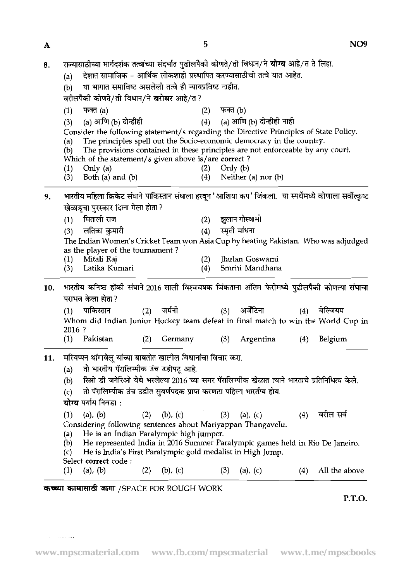| 8.  | राज्यासाठीच्या मार्गदर्शक तत्वांच्या संदर्भात पुढीलपैकी कोणते/ती विधान/ने <b>योग्य</b> आहे/त ते लिहा.<br>देशात सामाजिक - आर्थिक लोकशाही प्रस्थापित करण्यासाठीची तत्वे यात आहेत.<br>(a)<br>या भागात समाविष्ट असलेली तत्वे ही न्यायप्रविष्ट नाहीत.<br>(b)                                                                                                                                                                                                                                                                                                                                                                       |
|-----|-------------------------------------------------------------------------------------------------------------------------------------------------------------------------------------------------------------------------------------------------------------------------------------------------------------------------------------------------------------------------------------------------------------------------------------------------------------------------------------------------------------------------------------------------------------------------------------------------------------------------------|
|     | वरीलपैकी कोणते/ती विधान/ने बरोबर आहे/त?                                                                                                                                                                                                                                                                                                                                                                                                                                                                                                                                                                                       |
|     | फक्त (a)<br>फक्त (b)<br>(2)<br>(1)                                                                                                                                                                                                                                                                                                                                                                                                                                                                                                                                                                                            |
|     | (a) आणि (b) दोन्हीही नाही<br>(a) आणि (b) दोन्हीही<br>(4)<br>(3)                                                                                                                                                                                                                                                                                                                                                                                                                                                                                                                                                               |
|     | Consider the following statement/s regarding the Directive Principles of State Policy.<br>The principles spell out the Socio-economic democracy in the country.<br>(a)<br>The provisions contained in these principles are not enforceable by any court.<br>(b)<br>Which of the statement/s given above is/are correct?                                                                                                                                                                                                                                                                                                       |
|     | Only $(a)$<br>Only $(b)$<br>(2)<br>(1)                                                                                                                                                                                                                                                                                                                                                                                                                                                                                                                                                                                        |
|     | Both $(a)$ and $(b)$<br>(4)<br>Neither (a) nor $(b)$<br>(3)                                                                                                                                                                                                                                                                                                                                                                                                                                                                                                                                                                   |
| 9.  | भारतीय महिला क्रिकेट संघाने पाकिस्तान संघाला हरवून 'आशिया कप' जिंकला.  या स्पर्धेमध्ये कोणाला सर्वोत्कृष्ट<br>खेळाडूचा पुरस्कार दिला गेला होता ?<br>मिताली राज<br>झुलान गोस्वामी<br>(2)<br>(1)<br>स्मृती मांधना<br>लतिका कुमारी<br>(4)<br>(3)<br>The Indian Women's Cricket Team won Asia Cup by beating Pakistan. Who was adjudged<br>as the player of the tournament?<br>Jhulan Goswami<br>Mitali Raj<br>(2)<br>(L)<br>Latika Kumari<br>Smriti Mandhana<br>(4)<br>(3)                                                                                                                                                       |
| 10. | भारतीय कनिष्ठ हॉकी संघाने 2016 साली विश्वचषक जिंकताना अंतिम फेरीमध्ये पुढीलपैकी कोणत्या संघाचा<br>पराभव केला होता ?<br>पाकिस्तान<br>जर्मनी<br>(2)<br>अर्जेंटिना<br>बेल्जियम<br>(3)<br>(4)<br>(1)                                                                                                                                                                                                                                                                                                                                                                                                                              |
|     | Whom did Indian Junior Hockey team defeat in final match to win the World Cup in                                                                                                                                                                                                                                                                                                                                                                                                                                                                                                                                              |
|     | 2016 ?                                                                                                                                                                                                                                                                                                                                                                                                                                                                                                                                                                                                                        |
|     | Pakistan<br>Belgium<br>(1)<br>Germany<br>Argentina<br>(3)<br>(4)<br>(2)                                                                                                                                                                                                                                                                                                                                                                                                                                                                                                                                                       |
|     | 11. मरियप्पन थांगावेलू यांच्या बाबतीत खालील विधानांचा विचार करा.<br>तो भारतीय पॅरालिम्पीक उंच उडीपटू आहे.<br>(a)<br>रिओ डी जनेरिओ येथे भरलेल्या 2016 च्या समर पॅरालिम्पीक खेळात त्याने भारताचे प्रतिनिधित्व केले.<br>(b)<br>तो पॅरालिम्पीक उंच उडीत सुवर्णपदक प्राप्त करणारा पहिला भारतीय होय.<br>(c)<br>योग्य पर्याय निवडा :<br>वरील सर्व<br>$(a)$ , $(b)$<br>$(b)$ , $(c)$<br>(2)<br>(3)<br>(a), (c)<br>(4)<br>(1)<br>Considering following sentences about Mariyappan Thangavelu.<br>He is an Indian Paralympic high jumper.<br>(a)<br>He represented India in 2016 Summer Paralympic games held in Rio De Janeiro.<br>(b) |

Select **correct** code :<br>(1) (a), (b) (2) (b), (c)  $(3)$  (a), (c)  $(4)$  All the above

 $\alpha$  , and  $\alpha$  are seen as  $\alpha$  , and  $\alpha$  , and  $\alpha$  , and  $\alpha$  , and

**कच्च्या कामासाठी जागा /SPACE FOR ROUGH WORK** 

**P.T.O.**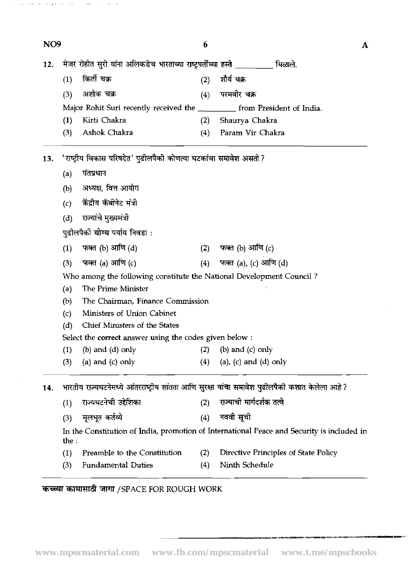| NO <sub>9</sub> |       |                                                                         | 6   | А                                                                                               |
|-----------------|-------|-------------------------------------------------------------------------|-----|-------------------------------------------------------------------------------------------------|
| 12.             |       | मेजर रोहीत सुरी यांना अलिकडेच भारताच्या राष्ट्रपर्तीच्या हस्ते ________ |     | मिळाले.                                                                                         |
|                 | (1)   | किर्ती चक्र                                                             | (2) | शोर्य चक्र                                                                                      |
|                 | (3)   | अशोक चक्र                                                               | (4) | परमवीर चक्र                                                                                     |
|                 |       | Major Rohit Suri recently received the                                  |     | from President of India.                                                                        |
|                 | (1)   | Kirti Chakra                                                            | (2) | Shaurya Chakra                                                                                  |
|                 | (3)   | Ashok Chakra                                                            | (4) | Param Vir Chakra                                                                                |
| 13.             |       | 'राष्ट्रीय विकास परिषदेत' पुढीलपैको कोणत्या घटकांचा समावेश असतो ?       |     |                                                                                                 |
|                 | (a)   | पंतप्रधान                                                               |     |                                                                                                 |
|                 | (b)   | अध्यक्ष, वित्त आयोग                                                     |     |                                                                                                 |
|                 | (c)   | केंद्रीय कॅबीनेट मंत्री                                                 |     |                                                                                                 |
|                 | (d)   | राज्यांचे मुख्यमंत्री                                                   |     |                                                                                                 |
|                 |       | पुढीलपैकी <b>योग्य</b> पर्याय निवडा :                                   |     |                                                                                                 |
|                 |       |                                                                         |     |                                                                                                 |
|                 | (1)   | फक्त (b) आणि (d)                                                        | (2) | फक्त (b) आणि (c)                                                                                |
|                 | (3)   | फक्त (a) आणि (c)                                                        | (4) | फक्त (a), (c) आणि (d)                                                                           |
|                 |       | Who among the following constitute the National Development Council?    |     |                                                                                                 |
|                 | (a)   | The Prime Minister                                                      |     |                                                                                                 |
|                 | (b)   | The Chairman, Finance Commission                                        |     |                                                                                                 |
|                 | (c)   | Ministers of Union Cabinet                                              |     |                                                                                                 |
|                 | (d)   | Chief Ministers of the States                                           |     |                                                                                                 |
|                 |       | Select the correct answer using the codes given below:                  |     |                                                                                                 |
|                 | (1)   | $(b)$ and $(d)$ only                                                    | (2) | $(b)$ and $(c)$ only                                                                            |
|                 | (3)   | (a) and $(c)$ only                                                      | (4) | $(a)$ , $(c)$ and $(d)$ only                                                                    |
| 14.             |       |                                                                         |     | भारतीय राज्यघटनेमध्ये आंतरराष्ट्रीय शांतता आणि सुरक्षा यांचा समावेश पुढीलपैकी कशात केलेला आहे ? |
|                 | (1)   | राज्यघटनेची उद्देशिका                                                   | (2) | राज्याची मार्गदर्शक तत्वे                                                                       |
|                 | (3)   | मूलभूत कर्तव्ये                                                         | (4) | नववी सूची                                                                                       |
|                 | the : |                                                                         |     | In the Constitution of India, promotion of International Peace and Security is included in      |
|                 | (1)   | Preamble to the Constitution                                            | (2) | Directive Principles of State Policy                                                            |
|                 | (3)   | <b>Fundamental Duties</b>                                               | (4) | Ninth Schedule                                                                                  |
|                 |       |                                                                         |     |                                                                                                 |

# कच्च्या कामासाठी जागा /SPACE FOR ROUGH WORK

 $\label{eq:1.1} \mathbb{E}[\omega(\omega)]=\mathbb{E}[\omega(\omega) \cdot \mathbf{u}(\mathbf{v})] = \mathbf{v} - \mathbf{v}(\mathbf{v}) \cdot \mathbf{v}(\omega)$ 

 $\sim$ 

 $\beta$  , and  $\beta$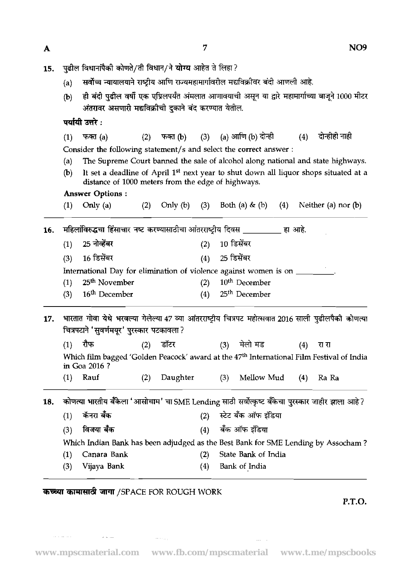- 15.
	- पुढील विधानांपैकी कोणते/ती विधान/ने **योग्य** आहेत ते लिहा ?<br>(a) सर्वोच्च न्यायालयाने राष्ट्रीय आणि राज्यमहामार्गावरील मद्यविक्रीवर बंदी आणली आहे.
	- ही बंदी पुढील वर्षी एक एप्रिलपर्यंत अंमलात आणावयाची असून या द्वारे महामार्गाच्या बाजूने 1000 मीटर  $(b)$ अंतरावर असणारी मद्यविक्रीची दुकाने बंद करण्यात येतील.

पर्यायी उत्तरे :

 $(1)$  फक्त  $(a)$ (2) फक्त (b) (a) आणि (b) दोन्ही दोन्होहो नाही  $(3)$  $(4)$ Consider the following statement/s and select the correct answer :

- (a) The Supreme Court banned the sale of alcohol along national and state highways.
- (b) It set a deadline of April 1<sup>st</sup> next year to shut down all liquor shops situated at a distance of 1000 meters from the edge of highways.

# Answer Options :

|     | (1) | Only $(a)$                                                                                                                                          | (2) | Only (b) | (3) |     | Both (a) $\&$ (b)         | (4) |     | Neither (a) nor $(b)$ |
|-----|-----|-----------------------------------------------------------------------------------------------------------------------------------------------------|-----|----------|-----|-----|---------------------------|-----|-----|-----------------------|
| 16. |     | महिलांविरुद्धचा हिंसाचार नष्ट करण्यासाठीचा आंतरराष्ट्रीय दिवस __________ हा आहे.                                                                    |     |          |     |     |                           |     |     |                       |
|     | (1) | 25 नोव्हेंबर                                                                                                                                        |     |          | (2) |     | 10 डिसेंबर                |     |     |                       |
|     | (3) | 16 डिसेंबर                                                                                                                                          |     |          | (4) |     | 25 डिसेंबर                |     |     |                       |
|     |     | International Day for elimination of violence against women is on _______                                                                           |     |          |     |     |                           |     |     |                       |
|     | (1) | 25 <sup>th</sup> November                                                                                                                           |     |          | (2) |     | 10 <sup>th</sup> December |     |     |                       |
|     | (3) | 16 <sup>th</sup> December                                                                                                                           |     |          | (4) |     | 25 <sup>th</sup> December |     |     |                       |
| 17. |     | भारतात गोवा येथे भरवल्या गेलेल्या 47 व्या आंतरराष्ट्रीय चित्रपट महोत्सवात 2016 साली पुढीलपैकी कोणत्या<br>चित्रपटाने 'सुवर्णमयूर' पुरस्कार पटकावला ? |     |          |     |     |                           |     |     |                       |
|     | (1) | रौफ                                                                                                                                                 | (2) | डॉटर     |     |     | (3) मेलो मड               |     | (4) | रा रा                 |
|     |     | Which film bagged 'Golden Peacock' award at the 47 <sup>th</sup> International Film Festival of India<br>in Goa 2016 ?                              |     |          |     |     |                           |     |     |                       |
|     | (1) | Rauf                                                                                                                                                | (2) | Daughter |     | (3) | Mellow Mud                |     | (4) | Ra Ra                 |
| 18. |     | कोणत्या भारतीय बँकेला 'आसोचाम' चा SME Lending साठी सर्वोत्कृष्ट बँकेचा पुरस्कार जाहीर झाला आहे ?                                                    |     |          |     |     |                           |     |     |                       |
|     | (1) | कॅनरा बँक                                                                                                                                           |     |          | (2) |     | स्टेट बँक ऑफ इंडिया       |     |     |                       |
|     | (3) | विजया बँक                                                                                                                                           |     |          | (4) |     | बँक ऑफ इंडिया             |     |     |                       |
|     |     | Which Indian Bank has been adjudged as the Best Bank for SME Lending by Assocham?                                                                   |     |          |     |     |                           |     |     |                       |
|     | (1) | Canara Bank                                                                                                                                         |     |          | (2) |     | State Bank of India       |     |     |                       |
|     | (3) | Vijaya Bank                                                                                                                                         |     |          | (4) |     | Bank of India             |     |     |                       |

# कच्च्या कामासाठी जागा /SPACE FOR ROUGH WORK

وسادحت

المتناعين

**P.T.O.** 

 $\mathbb{Z}_{2n}$  .  $\mathbb{Z}_{2n}$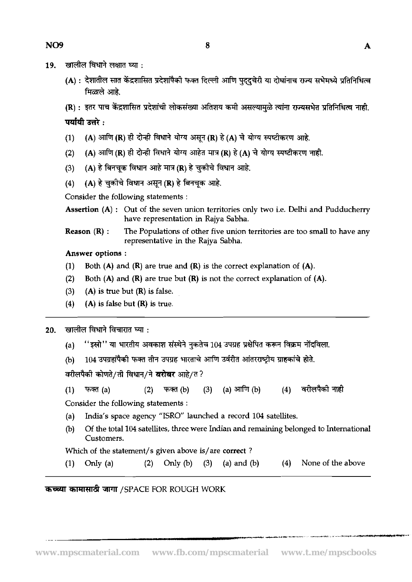- खालील विधाने लक्षात घ्या : 19.
	- (A) : देशातील सात केंद्रशासित प्रदेशांपैकी फक्त दिल्ली आणि पददचेरी या दोघांनाच राज्य सभेमध्ये प्रतिनिधित्व मिळाले आहे
	- (R) : इतर पाच केंद्रशासित प्रदेशांची लोकसंख्या अतिशय कमी असल्यामळे त्यांना राज्यसभेत प्रतिनिधित्व नाही.

पर्यायी उत्तरे :

- (A) आणि (R) ही दोन्ही विधाने योग्य असून (R) है (A) चे योग्य स्पष्टीकरण आहे.  $(1)$
- (A) आणि (R) ही दोन्ही विधाने योग्य आहेत मात्र (R) हे (A) चे योग्य स्पष्टीकरण नाही.  $(2)$
- (A) हे बिनचक विधान आहे मात्र (R) हे चुकीचे विधान आहे.  $(3)$
- (A) हे चुकीचे विधान असून (R) हे बिनचुक आहे.  $(4)$

Consider the following statements :

Assertion (A) : Out of the seven union territories only two i.e. Delhi and Pudducherry have representation in Rajya Sabha.

Reason (R) : The Populations of other five union territories are too small to have any representative in the Rajya Sabha.

Answer options :

- (1) Both  $(A)$  and  $(R)$  are true and  $(R)$  is the correct explanation of  $(A)$ .
- (2) Both  $(A)$  and  $(R)$  are true but  $(R)$  is not the correct explanation of  $(A)$ .
- **(3)** (A) is true but (R) is false.
- (4) (A) is false but  $(R)$  is true.

 $20.$  खालील विधाने विचारात घ्या:

- (a) "इस्रो" या भारतीय अवकाश संस्थेने नुकतेच 104 उपग्रह प्रक्षेपित करून विक्रम नोंदविला.
- (b)  $104$  उपग्रहांपैकी फक्त तीन उपग्रह भारताचे आणि उर्वरीत आंतरराष्ट्रीय ग्राहकांचे होते.

वरीलपैकी कोणते/ती विधान/ने **बरोबर** आहे/त ?

फक्त (a)  $(2)$  $(3)$ (a) आणि  $(b)$  $(4)$ वरीलपैको नाही  $(1)$ फक्त (b)

Consider the following statements :

- (a) India's space agency "ISRO" launched a record 104 satellites.
- @) Of the total 104 satellites, three were Indian and remaining belonged to International Customers.

Which of the statement/s given above is/are correct?

(1) Only (a)  $(2)$  Only (b)  $(3)$  (a) and (b)  $(4)$  None of the above

\_\_

कच्च्या कामासाठी जागा /SPACE FOR ROUGH WORK

--- .--.,. ^.. +-. ~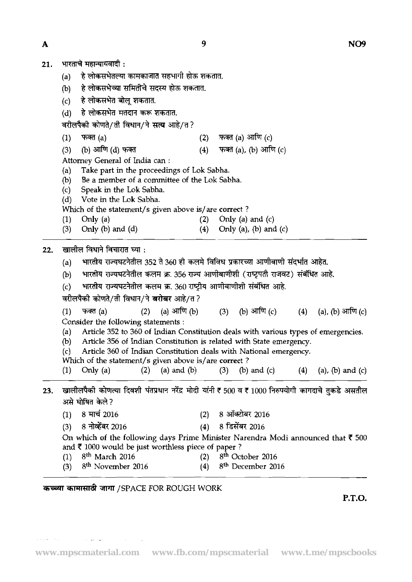21. भारताचे महान्यायवादी:

 $\overline{\mathbf{A}}$ 

- (a) हे लोकसभेतल्या कामकाजात सहभागी होऊ शकतात.
- (b) हे लोकसभेच्या समितीचे सदस्य होऊ शकतात.
- 
- (d) हे लोकसभेत मतदान करू शकतात.

- (c) ह लाकसभत बालू राकतात.<br>(d) हे लोकसभेत मतदान करू शकतात.<br>वरीलपैको कोणते/ती विधान/ने सत्य आहे/त ?<br>(1) फक्त (a) (2) फक्त (a) आणि (c)<br>(3) (b) आणि (d) फक्त
- (a) लिशाकसमत मतदान करू राकतात.<br>वरीलपैको कोणते/ती विधान/ने **सत्य** आहे/त ?<br>(1) फक्त (a) (2) फक्त (a) आणि (c)<br>(3) (b) आणि (d) फक्त<br>Attorney General of India can : - (4) फक्त (a), (b) आणि (c)

Attorney General of India can :

- (a) Take part in the proceedings of Lok Sabha.<br>(b) Be a member of a committee of the Lok Sab
- (b) Be a member of a committee of the Lok Sabha.<br>(c) Speak in the Lok Sabha.
- (c) Speak in the Lok Sabha.<br>(d) Vote in the Lok Sabha.
- Vote in the Lok Sabha.

Which of the statement/s given above is/are correct?

- (1) Only (a)  $(2)$  Only (a) and (c)  $(3)$  Only (b) and  $(d)$   $(4)$  Only (a), (b) and Only (a), (b) and  $(c)$
- 

खालील विधाने विचारात घ्या:  $22.$ 

- (a) भारतीय राज्यघटनेतील 352 ते 360 ही कलमे विविध प्रकारच्या आणीबाणी संदर्भात आहेत.
- (b) भारतीय राज्यघटनेतील कलम क्र. 356 राज्य आणीबाणीशी (राष्ट्रपती राजवट) संबंधित आहे.
- (c) भारतीय राज्यघटनेतील कलम क्र. 360 राष्ट्रीय आणीबाणीशी संबंधित आहे.

वरीलपैकी कोणते/ती विधान/ने **बरोबर** आहे/त?

- (b) आणि (c)  $(1)$ फक्त $(a)$  $(2)$ (a) आणि  $(b)$  $(3)$  $(4)$ (a), (b) आणि (c) Consider the following statements :
- (a) Article 352 to 360 of Indian Constitution deals with various types of emergencies.<br>(b) Article 356 of Indian Constitution is related with State emergency.
- Article 356 of Indian Constitution is related with State emergency.

(c) Article 360 of Indian Constitution deals with National emergency.

- Which of the statement/s given above is/are correct?
- (1) Only (a)  $(2)$  (a) and (b) (3) (b) and (c) (4) (a), (b) and (c)
- 23. खालीलपैकी कोणत्या दिवशी पंतप्रधान नरेंद्र मोदी यांनी <del>र</del> 500 व र 1000 निरुपयोगी कागदाचे तुकडे असतील असे घोषित केले?
	- (1) 8 **d** 2016 (2) *8* 3=ib&t7 <sup>2016</sup>
	- (3) *8* 2016 (4) *8* 2016

On which of the following days Prime Minister Narendra Modi announced that **T** 500 and **T** 1000 would be just worthless piece of paper ?

- (1) March 2016 (2) *Eth* October 2016
- (3) *Eth* November 2016 *(4) 8"* December 2016

# कच्च्या कामासाठी जागा /SPACE FOR ROUGH WORK

**P.T.O.**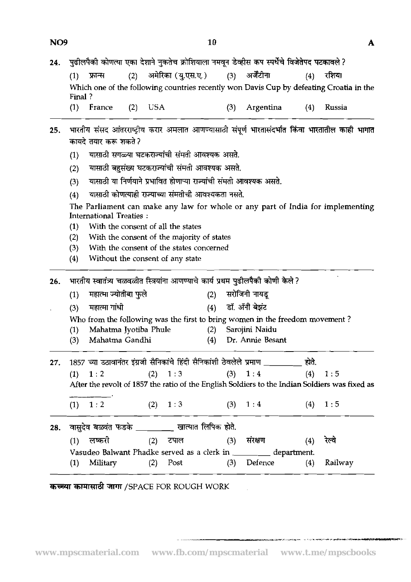| NO <sub>9</sub> | 10                                                                                                                                                                                          | A             |
|-----------------|---------------------------------------------------------------------------------------------------------------------------------------------------------------------------------------------|---------------|
| 24.             | पुढीलपैकी कोणत्या एका देशाने नुकतेच क्रोशियाला नमवून डेव्हीस कप स्पर्धेचे विजेतेपद पटकावले ?                                                                                                |               |
|                 | (3) अर्जेंटीना<br>अमेरिका (यु.एस.ए.)<br>(2)<br>फ्रान्स<br>(4)<br>(1)                                                                                                                        | रशिया         |
|                 | Which one of the following countries recently won Davis Cup by defeating Croatia in the<br>Final?                                                                                           |               |
|                 | France<br>(1)<br>USA<br>(4)<br>(3)<br>Argentina<br>(2)                                                                                                                                      | <b>Russia</b> |
| 25.             | भारतीय संसद आंतरराष्ट्रीय करार अमलात आणण्यासाठी संपूर्ण भारतासंदर्भात किंवा भारतातील काही भागात<br>कायदे तयार करू शकते ?<br>यासाठी सगळ्या घटकराज्यांची संमती आवश्यक असते.<br>(1)            |               |
|                 | यासाठी बहुसंख्य घटकराज्यांची संमती आवश्यक असते.<br>(2)                                                                                                                                      |               |
|                 | यासाठी या निर्णयाने प्रभावित होणाऱ्या राज्यांची संमती आवश्यक असते.<br>(3)                                                                                                                   |               |
|                 | यासाठी कोणत्याही राज्याच्या संमतीची आवश्यकता नसते.<br>(4)                                                                                                                                   |               |
|                 | The Parliament can make any law for whole or any part of India for implementing<br><b>International Treaties:</b>                                                                           |               |
|                 | $\mathbf{r}$ , $\mathbf{r}$ , $\mathbf{r}$ , $\mathbf{r}$ , $\mathbf{r}$<br>the contract of the contract of the contract of the contract of the contract of the contract of the contract of |               |

- **(1)** With the consent of all the states
- **(2)** With the consent of the majority of states
- **(3)** With the consent of the states concerned
- **(4)** Without the consent of any state

**(1)** -\*\* **(2)** - <sup>T</sup> **(3)** mili-4 **(4) sf.** 37-4 \* 26. भारतीय स्वातंत्र्य चळवळीत स्त्रियांना आणण्याचे कार्य प्रथम पुढीलपैकी कोणी केले? Who from the following was the first to bring women in the freedom movement ? (1) Mahahna Jyotiba Phule **(2)** Sarojini Naidu **(3)** Mahatma Gandhi **(4)** Dr. Annie Besant 27. 1857 च्या उठावानंतर इंग्रजी सैनिकांचे हिंदी सैनिकांशी ठेवलेले प्रमाण \_\_\_\_\_\_\_\_ होते.  $(1)$  1 : 2 (2) 1 : 3 (3) 1 : 4 (4) 1 : 5 After the revolt of **1857** the ratio of the English Soldiers to the Indian Soldiers was fixed as  $1:2$  $1:3$  $(3)$  $1:4$  $(4)$  $1:5$  $(1)$  $(2)$ 28. वासुदेव बळवंत फडके <u>| पा</u>ल खात्यात लिपिक होते. (1) लष्करी (2) टपाल (3) संरक्षण (4) रेल्वे Vasudeo Balwant Phadke served as a clerk in \_\_\_\_\_\_\_\_ department. **(1)** Military **(2)** Post **(3)** Defence **(4)** Railway

कच्च्या कामासाठी जागा /SPACE FOR ROUGH WORK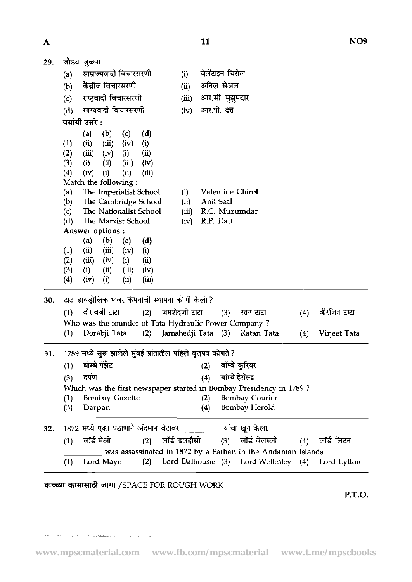| A   |                                                                                                                                                                                                                                                                                                                                                                                                                                                                                                                                                                    |                              | 11<br>NO <sub>9</sub>                                                                                                                                                        |
|-----|--------------------------------------------------------------------------------------------------------------------------------------------------------------------------------------------------------------------------------------------------------------------------------------------------------------------------------------------------------------------------------------------------------------------------------------------------------------------------------------------------------------------------------------------------------------------|------------------------------|------------------------------------------------------------------------------------------------------------------------------------------------------------------------------|
| 29. | जोड्या जुळवा :                                                                                                                                                                                                                                                                                                                                                                                                                                                                                                                                                     |                              |                                                                                                                                                                              |
|     | साम्राज्यवादी विचारसरणी<br>(a)                                                                                                                                                                                                                                                                                                                                                                                                                                                                                                                                     | (i)                          | वेलेंटाइन चिरोल                                                                                                                                                              |
|     | केंब्रोज विचारसरणी<br>(b)                                                                                                                                                                                                                                                                                                                                                                                                                                                                                                                                          | (ii)                         | अनिल सेअल                                                                                                                                                                    |
|     | राष्ट्रवादी विचारसरणी<br>(c)                                                                                                                                                                                                                                                                                                                                                                                                                                                                                                                                       | (iii)                        | आर.सी. मुझुमदार                                                                                                                                                              |
|     | साम्यवादी विचारसरणी<br>(d)                                                                                                                                                                                                                                                                                                                                                                                                                                                                                                                                         | (iv)                         | आर.पी. दत्त                                                                                                                                                                  |
|     | पर्यायी उत्तरे :                                                                                                                                                                                                                                                                                                                                                                                                                                                                                                                                                   |                              |                                                                                                                                                                              |
|     | (b)<br>(a)<br>(c)<br>(d)<br>(ii)<br>(iii)<br>(iv)<br>(i)<br>(1)<br>(ii)<br>(2)<br>(iii)<br>(i)<br>(iv)<br>(3)<br>(i)<br>(ii)<br>(iii)<br>(iv)<br>(4)<br>(iv)<br>(i)<br>(ii)<br>(iii)<br>Match the following:<br>The Imperialist School<br>(a)<br>The Cambridge School<br>(b)<br>The Nationalist School<br>(c)<br>The Marxist School<br>(d)<br>Answer options:<br>(b)<br>(a)<br>(c)<br>(d)<br>(1)<br>(ii)<br>(iii)<br>(iv)<br>(i)<br>(ii)<br>(2)<br>(iii)<br>(iv)<br>(i)<br>(3)<br>(i)<br>(ii)<br>(iii)<br>(iv)<br>(i)<br>$\left( 4\right)$<br>(iv)<br>(i)<br>(iii) | (i)<br>(ii)<br>(iii)<br>(iv) | Valentine Chirol<br>Anil Seal<br>R.C. Muzumdar<br>R.P. Datt                                                                                                                  |
| 30. | टाटा हायड्रोलिक पावर कंपनीची स्थापना कोणी केली ?                                                                                                                                                                                                                                                                                                                                                                                                                                                                                                                   |                              |                                                                                                                                                                              |
|     | दोराबजी टाटा           (2)     जमशेदजी टाटा<br>(1)                                                                                                                                                                                                                                                                                                                                                                                                                                                                                                                 |                              | वीरजित टाटा<br>(3) रतन टाटा<br>(4)                                                                                                                                           |
|     | Who was the founder of Tata Hydraulic Power Company?                                                                                                                                                                                                                                                                                                                                                                                                                                                                                                               |                              |                                                                                                                                                                              |
|     | Dorabji Tata<br>(1)                                                                                                                                                                                                                                                                                                                                                                                                                                                                                                                                                |                              | (2) Jamshedji Tata (3)<br>Ratan Tata<br>Virjeet Tata<br>(4)                                                                                                                  |
| 31. | 1789 मध्ये सुरू झालेले मुंबई प्रांतातील पहिले वृत्तपत्र कोणते ?<br>बॉम्बे गॅझेट<br>(1)<br>दर्पण<br>(3)<br><b>Bombay Gazette</b><br>(1)<br>(3)<br>Darpan                                                                                                                                                                                                                                                                                                                                                                                                            |                              | बॉम्बे कुरियर<br>(2)<br>बॉम्बे हेरॉल्ड<br>(4)<br>Which was the first newspaper started in Bombay Presidency in 1789?<br><b>Bombay Courier</b><br>(2)<br>Bombay Herold<br>(4) |
| 32. | 1872 मध्ये एका पठाणाने अंदमान बेटावर ________ यांचा खून केला.                                                                                                                                                                                                                                                                                                                                                                                                                                                                                                      |                              |                                                                                                                                                                              |
|     | लॉर्ड मेओ<br>(1)                                                                                                                                                                                                                                                                                                                                                                                                                                                                                                                                                   |                              | (2) लॉर्ड डलहौसी     (3)   लॉर्ड वेलस्ली<br>(4) लॉर्ड लिटन                                                                                                                   |
|     |                                                                                                                                                                                                                                                                                                                                                                                                                                                                                                                                                                    |                              | was assassinated in 1872 by a Pathan in the Andaman Islands.                                                                                                                 |
|     | (1)<br>Lord Mayo                                                                                                                                                                                                                                                                                                                                                                                                                                                                                                                                                   |                              | (2) Lord Dalhousie (3) Lord Wellesley (4)<br>Lord Lytton                                                                                                                     |
|     |                                                                                                                                                                                                                                                                                                                                                                                                                                                                                                                                                                    |                              |                                                                                                                                                                              |

# कच्च्या कामासाठी जागा /SPACE FOR ROUGH WORK

 $\mathcal{L}^{\text{max}}_{\text{max}}$  and  $\mathcal{L}^{\text{max}}_{\text{max}}$ 

 $\delta \sigma \sigma$  . Then a single property is a sequence of the set of  $\sigma$  ,  $\sigma$  ,  $\sigma$  ,  $\sigma$  , and  $\sigma$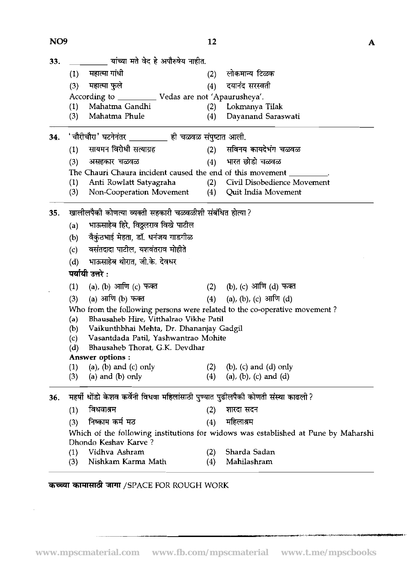| NO <sub>9</sub> |                                                                                   | 12  | A                                                                                  |  |  |  |  |  |  |  |
|-----------------|-----------------------------------------------------------------------------------|-----|------------------------------------------------------------------------------------|--|--|--|--|--|--|--|
| 33.             | ्यांच्या मते वेद हे अपौरुषेय नाहीत.                                               |     |                                                                                    |  |  |  |  |  |  |  |
|                 | महात्मा गांधी<br>(1)                                                              | (2) | लोकमान्य टिळक                                                                      |  |  |  |  |  |  |  |
|                 | महात्मा फुले<br>(3)                                                               | (4) | दयानंद सरस्वती                                                                     |  |  |  |  |  |  |  |
|                 | According to ____________ Vedas are not 'Apaurusheya'.                            |     |                                                                                    |  |  |  |  |  |  |  |
|                 | Mahatma Gandhi<br>(1)                                                             | (2) | - Lokmanya Tilak                                                                   |  |  |  |  |  |  |  |
|                 | Mahatma Phule<br>(3)                                                              | (4) | Dayanand Saraswati                                                                 |  |  |  |  |  |  |  |
| 34.             | 'चौरीचौरा' घटनेनंतर _________ ही चळवळ संपुष्टात आली.                              |     |                                                                                    |  |  |  |  |  |  |  |
|                 | सायमन विरोधी सत्याग्रह<br>(1)                                                     |     | (2) सविनय कायदेभंग चळवळ                                                            |  |  |  |  |  |  |  |
|                 | (3)<br>असहकार चळवळ                                                                | (4) | भारत छोडो चळवळ                                                                     |  |  |  |  |  |  |  |
|                 | The Chauri Chaura incident caused the end of this movement                        |     |                                                                                    |  |  |  |  |  |  |  |
|                 | (1)<br>Anti Rowlatt Satyagraha                                                    | (2) | Civil Disobedience Movement                                                        |  |  |  |  |  |  |  |
|                 | (3)<br>Non-Cooperation Movement                                                   | (4) | Quit India Movement                                                                |  |  |  |  |  |  |  |
| 35.             | खालीलपैकी कोणत्या व्यक्ती सहकारी चळवळीशी संबंधित होत्या?                          |     |                                                                                    |  |  |  |  |  |  |  |
|                 | भाऊसाहेब हिरे, विठ्ठलराव विखे पाटील<br>(a)                                        |     |                                                                                    |  |  |  |  |  |  |  |
|                 | वैकुंठभाई मेहता, डॉ. धनंजय गाडगीळ<br>(b)                                          |     |                                                                                    |  |  |  |  |  |  |  |
|                 | वसंतदादा पाटील, यशवंतराव मोहीते<br>(c)                                            |     |                                                                                    |  |  |  |  |  |  |  |
|                 | भाऊसाहेब थोरात, जी.के. देवधर<br>(d)                                               |     |                                                                                    |  |  |  |  |  |  |  |
|                 | पर्यायी उत्तरे :                                                                  |     |                                                                                    |  |  |  |  |  |  |  |
|                 | (a), (b) आणि (c) फक्त<br>(1)                                                      |     | (2) (b), (c) आणि (d) फक्त                                                          |  |  |  |  |  |  |  |
|                 | (a) आणि (b) फक्त<br>(3)                                                           |     | (4) (a), (b), (c) आणि (d)                                                          |  |  |  |  |  |  |  |
|                 | Who from the following persons were related to the co-operative movement?         |     |                                                                                    |  |  |  |  |  |  |  |
|                 | Bhausaheb Hire, Vitthalrao Vikhe Patil<br>(a)                                     |     |                                                                                    |  |  |  |  |  |  |  |
|                 | Vaikunthbhai Mehta, Dr. Dhananjay Gadgil<br>(b)                                   |     |                                                                                    |  |  |  |  |  |  |  |
|                 | Vasantdada Patil, Yashwantrao Mohite<br>(c)                                       |     |                                                                                    |  |  |  |  |  |  |  |
|                 | Bhausaheb Thorat, G.K. Devdhar<br>(d)<br>Answer options :                         |     |                                                                                    |  |  |  |  |  |  |  |
|                 | $(a)$ , $(b)$ and $(c)$ only<br>(1)                                               | (2) | $(b)$ , $(c)$ and $(d)$ only                                                       |  |  |  |  |  |  |  |
|                 | $(a)$ and $(b)$ only<br>(3)                                                       | (4) | (a), (b), (c) and (d)                                                              |  |  |  |  |  |  |  |
|                 |                                                                                   |     |                                                                                    |  |  |  |  |  |  |  |
| 36.             | महर्षी धोंडो केशव कर्वेनी विधवा महिलांसाठी पुण्यात पुढीलपैकी कोणती संस्था काढली ? |     |                                                                                    |  |  |  |  |  |  |  |
|                 | विधवाश्रम<br>(1)                                                                  | (2) | शारदा सदन                                                                          |  |  |  |  |  |  |  |
|                 | निष्काम कर्म मठ<br>(3)                                                            | (4) | महिलाश्रम                                                                          |  |  |  |  |  |  |  |
|                 | Dhondo Keshav Karve?                                                              |     | Which of the following institutions for widows was established at Pune by Maharshi |  |  |  |  |  |  |  |
|                 | Vidhva Ashram<br>(1)                                                              | (2) | Sharda Sadan                                                                       |  |  |  |  |  |  |  |
|                 | Nishkam Karma Math<br>(3)                                                         | (4) | Mahilashram                                                                        |  |  |  |  |  |  |  |

# कच्च्या कामासाठी जागा /SPACE FOR ROUGH WORK

 $\bar{z}$ 

.<br>تەربىيەت ئىسپى ئۇچرۇش كۆز. يارىلىق ئۇيغان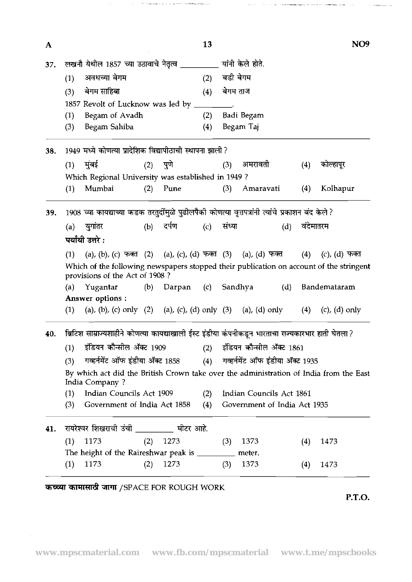| A   |     |                                                                                                                           |     |            | 13       |        |                              |     |           | NO <sub>9</sub>    |
|-----|-----|---------------------------------------------------------------------------------------------------------------------------|-----|------------|----------|--------|------------------------------|-----|-----------|--------------------|
| 37. |     | लखनौ येथील 1857 च्या उठावाचे नेतृत्व __________                                                                           |     |            |          |        | यांनी केले होते.             |     |           |                    |
|     | (1) | अवधच्या बेगम                                                                                                              |     | (2)        | बडी बेगम |        |                              |     |           |                    |
|     | (3) | बेगम साहिबा                                                                                                               |     |            | (4)      |        | बेगम ताज                     |     |           |                    |
|     |     | 1857 Revolt of Lucknow was led by _                                                                                       |     |            |          |        |                              |     |           |                    |
|     | (1) | Begam of Avadh                                                                                                            |     |            | (2)      |        | Badi Begam                   |     |           |                    |
|     | (3) | Begam Sahiba                                                                                                              |     |            | (4)      |        | Begam Taj                    |     |           |                    |
| 38. |     | 1949 मध्ये कोणत्या प्रादेशिक विद्यापीठाची स्थापना झाली ?                                                                  |     |            |          |        |                              |     |           |                    |
|     | (1) | मुंबई                                                                                                                     | (2) | पुणे       |          | (3)    | अमरावती                      |     | (4)       | कोल्हापूर          |
|     |     | Which Regional University was established in 1949?                                                                        |     |            |          |        |                              |     |           |                    |
|     | (1) | Mumbai                                                                                                                    | (2) | Pune       |          | (3)    | Amaravati                    |     | (4)       | Kolhapur           |
| 39. |     | 1908 च्या कायद्याच्या कडक तरतुर्दीमुळे पुढीलपैकी कोणत्या वृत्तपत्रांनी त्यांचे प्रकाशन बंद केले?                          |     |            |          |        |                              |     |           |                    |
|     |     | (a) युगांतर                                                                                                               | (b) | दर्पण      | (c)      | संध्या |                              | (d) | वंदेमातरम |                    |
|     |     | पर्यायी उत्तरे :                                                                                                          |     |            |          |        |                              |     |           |                    |
|     | (1) | (a), (b), (c) फक्त (2) (a), (c), (d) फक्त (3) (a), (d) फक्त                                                               |     |            |          |        |                              |     | (4)       | (c), (d) फक्त      |
|     |     | Which of the following newspapers stopped their publication on account of the stringent<br>provisions of the Act of 1908? |     |            |          |        |                              |     |           |                    |
|     |     | (a) Yugantar                                                                                                              | (b) | Darpan (c) |          |        | Sandhya                      | (d) |           | Bandemataram       |
|     |     | Answer options:                                                                                                           |     |            |          |        |                              |     |           |                    |
|     | (1) | (a), (b), (c) only (2) (a), (c), (d) only (3) (a), (d) only                                                               |     |            |          |        |                              |     | (4)       | $(c)$ , $(d)$ only |
| 40. |     | ब्रिटिश साम्राज्यशाहीने कोणत्या कायद्याखाली ईस्ट इंडीया कंपनीकडून भारताचा राज्यकारभार हाती घेतला ?                        |     |            |          |        |                              |     |           |                    |
|     | (1) | इंडियन कौन्सील ॲक्ट 1909                                                                                                  |     |            |          |        | (2) इंडियन कौन्सील ॲक्ट 1861 |     |           |                    |
|     | (3) | गव्हर्नमेंट ऑफ इंडीया ॲक्ट 1858 (4) गव्हर्नमेंट ऑफ इंडीया ॲक्ट 1935                                                       |     |            |          |        |                              |     |           |                    |
|     |     | By which act did the British Crown take over the administration of India from the East<br>India Company ?                 |     |            |          |        |                              |     |           |                    |
|     | (1) | Indian Councils Act 1909                                                                                                  |     |            | (2)      |        | Indian Councils Act 1861     |     |           |                    |
|     | (3) | Government of India Act 1858                                                                                              |     |            | (4)      |        | Government of India Act 1935 |     |           |                    |
| 41. |     | रायरेश्वर शिखराची उंची ________ मीटर आहे.                                                                                 |     |            |          |        |                              |     |           |                    |
|     | (1) | 1173                                                                                                                      | (2) | 1273       |          | (3)    | 1373                         |     | (4)       | 1473               |
|     |     | The height of the Raireshwar peak is __________                                                                           |     |            |          |        | meter.                       |     |           |                    |
|     |     |                                                                                                                           |     |            |          |        |                              |     |           |                    |

 $\hat{\gamma}_1 = \hat{\gamma}_1 = \hat{\gamma}_2 = \hat{\gamma}_1 = \hat{\gamma}_2 = \hat{\gamma}_1 = \hat{\gamma}_2 = \hat{\gamma}_1 = \hat{\gamma}_2 = \hat{\gamma}_1 = \hat{\gamma}_2 = \hat{\gamma}_1 = \hat{\gamma}_2 = \hat{\gamma}_2 = \hat{\gamma}_1 = \hat{\gamma}_2 = \hat{\gamma}_1 = \hat{\gamma}_2 = \hat{\gamma}_1 = \hat{\gamma}_2 = \hat{\gamma}_1 = \hat{\gamma}_2 = \hat{\gamma}_1 = \hat{\gamma}_2 = \hat{\gamma}_1 = \hat{\gamma}_2 = \hat{\gamma}_1 = \hat{\gamma}_2 = \hat{\gamma}_1 = \hat{\gamma}_2 = \hat{\gamma}_1 = \hat{\$ 

**P.T.O.** 

 $\mathcal{A}^{\mathcal{A}}$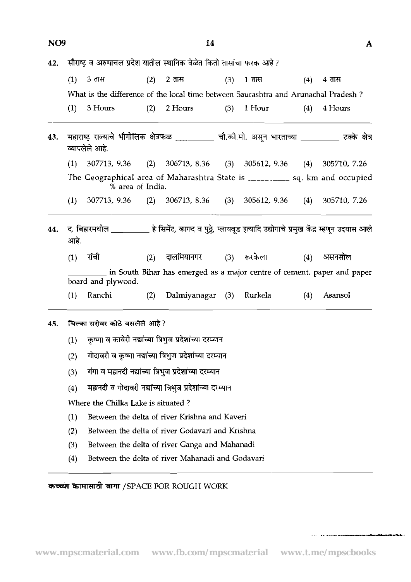| NO <sub>9</sub> |                                                                                                                     |                                                          |     | 14                                                                                                 |     |                        |     | A            |  |  |
|-----------------|---------------------------------------------------------------------------------------------------------------------|----------------------------------------------------------|-----|----------------------------------------------------------------------------------------------------|-----|------------------------|-----|--------------|--|--|
| 42.             | सौराष्ट्र व अरुणाचल प्रदेश यातील स्थानिक वेळेत किती तासांचा फरक आहे?                                                |                                                          |     |                                                                                                    |     |                        |     |              |  |  |
|                 | (1)                                                                                                                 | <b>3 तास</b>                                             | (2) | 2 <sub>ππ</sub>                                                                                    | (3) | 1 <sub>ππ</sub>        | (4) | $4 \pi$ स    |  |  |
|                 |                                                                                                                     |                                                          |     | What is the difference of the local time between Saurashtra and Arunachal Pradesh?                 |     |                        |     |              |  |  |
|                 | (1)                                                                                                                 | 3 Hours                                                  | (2) | 2 Hours                                                                                            | (3) | 1 Hour                 | (4) | 4 Hours      |  |  |
| 43.             |                                                                                                                     | व्यापलेले आहे.                                           |     | महाराष्ट्र राज्याचे भौगोलिक क्षेत्रफळ __________ चौ.की.मी. असून भारताच्या __________ टक्के क्षेत्र |     |                        |     |              |  |  |
|                 | (1)                                                                                                                 | $307713, 9.36$ (2)                                       |     | $306713, 8.36$ (3)                                                                                 |     | $305612, 9.36$ (4)     |     | 305710, 7.26 |  |  |
|                 |                                                                                                                     | ____% area of India.                                     |     | The Geographical area of Maharashtra State is ____________ sq. km and occupied                     |     |                        |     |              |  |  |
|                 | (1)                                                                                                                 |                                                          |     | 307713, 9.36 (2) 306713, 8.36 (3) 305612, 9.36 (4)                                                 |     |                        |     | 305710, 7.26 |  |  |
| 44.             | द. बिहारमधील __________ हे सिमेंट, कागद व पुठ्ठे, प्लायवूड इत्यादि उद्योगाचे प्रमुख केंद्र म्हणून उदयास आले<br>आहे. |                                                          |     |                                                                                                    |     |                        |     |              |  |  |
|                 | (1)                                                                                                                 | रांची                                                    | (2) |                                                                                                    |     | दालमियानगर (3) रूरकेला | (4) | असनसोल       |  |  |
|                 | in South Bihar has emerged as a major centre of cement, paper and paper<br>board and plywood.                       |                                                          |     |                                                                                                    |     |                        |     |              |  |  |
|                 | (1)                                                                                                                 | Ranchi                                                   | (2) | Dalmiyanagar (3)                                                                                   |     | Rurkela                | (4) | Asansol      |  |  |
| 45.             |                                                                                                                     | चिल्का सरोवर कोठे वसलेले आहे?                            |     |                                                                                                    |     |                        |     |              |  |  |
|                 | (1)                                                                                                                 | कृष्णा व कावेरी नद्यांच्या त्रिभुज प्रदेशांच्या दरम्यान  |     |                                                                                                    |     |                        |     |              |  |  |
|                 | (2)                                                                                                                 | गोदावरी व कृष्णा नद्यांच्या त्रिभुज प्रदेशांच्या दरम्यान |     |                                                                                                    |     |                        |     |              |  |  |
|                 | (3)                                                                                                                 | गंगा व महानदी नद्यांच्या त्रिभुज प्रदेशांच्या दरम्यान    |     |                                                                                                    |     |                        |     |              |  |  |

Where the Chilka Lake is situated ?

 $(4)$ 

**(1)** Between the delta of river Krishna and Kaveri

महानदी व गोदावरी नद्यांच्या त्रिभुज प्रदेशांच्या दरम्यान

- **(2)** Between the delta of river Godavari and Krishna
- **(3)** Between the delta of river Ganga and Mahanadi
- **(4)** Between the delta of river Mahanadi and Godavari

 $\overline{a}$   $\overline{b}$   $\overline{c}$   $\overline{d}$   $\overline{d}$   $\overline{d}$   $\overline{d}$   $\overline{d}$   $\overline{d}$   $\overline{d}$   $\overline{d}$   $\overline{d}$   $\overline{d}$   $\overline{d}$   $\overline{d}$   $\overline{d}$   $\overline{d}$   $\overline{d}$   $\overline{d}$   $\overline{d}$   $\overline{d}$   $\overline{d}$   $\overline{d}$   $\overline{d}$   $\overline{$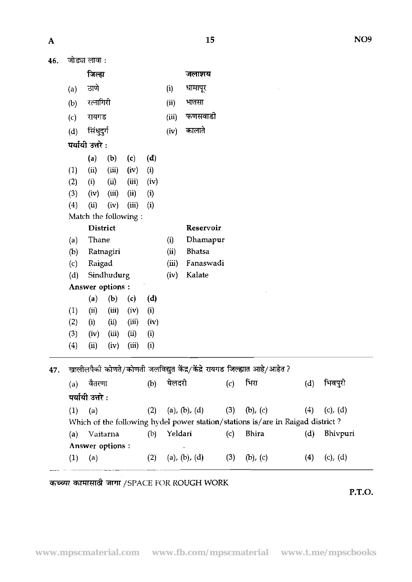जो*ड्या लावा*ः 46.

|     |                                                                          | जिल्हा                       |       |                 |               |                | जलाशय         |       |                                                                                |          |         |
|-----|--------------------------------------------------------------------------|------------------------------|-------|-----------------|---------------|----------------|---------------|-------|--------------------------------------------------------------------------------|----------|---------|
|     | (a)                                                                      | ठाणे                         |       |                 |               | धामापूर<br>(i) |               |       |                                                                                |          |         |
|     | (b)                                                                      | रत्नागिरी                    |       |                 |               | (ii)           | भातसा         |       |                                                                                |          |         |
|     | (c)                                                                      | रायगड                        |       |                 |               |                | फणसवाडी       |       |                                                                                |          |         |
|     | (d)                                                                      | सिंधुदुर्ग                   |       |                 |               | (iv)           | कालाते        |       |                                                                                |          |         |
|     | पर्यायी उत्तरे :                                                         |                              |       |                 |               |                |               |       |                                                                                |          |         |
|     |                                                                          | (a)                          | (b)   | (c)             | (d)           |                |               |       |                                                                                |          |         |
|     | (1)                                                                      | (ii)                         | (iii) | (iv)            | (i)           |                |               |       |                                                                                |          |         |
|     | (2)                                                                      | (i)                          | (ii)  | (iii)           | (iv)          |                |               |       |                                                                                |          |         |
|     | (3)                                                                      | (iv)                         | (iii) | (ii)            | (i)           |                |               |       |                                                                                |          |         |
|     | (4)                                                                      | (ii)<br>(iii)<br>(i)<br>(iv) |       |                 |               |                |               |       |                                                                                |          |         |
|     | Match the following:                                                     |                              |       |                 |               |                |               |       |                                                                                |          |         |
|     |                                                                          | <b>District</b>              |       |                 |               |                | Reservoir     |       |                                                                                |          |         |
|     | (a)                                                                      | Thane<br>Ratnagiri           |       | Dhamapur<br>(i) |               |                |               |       |                                                                                |          |         |
|     | (b)                                                                      |                              |       | (ii)            | <b>Bhatsa</b> |                |               |       |                                                                                |          |         |
|     | (c)                                                                      | Raigad<br>Sindhudurg         |       |                 |               | (iii)          | Fanaswadi     |       |                                                                                |          |         |
|     | (d)                                                                      |                              |       |                 |               | (iv)           | Kalate        |       |                                                                                |          |         |
|     | Answer options:                                                          |                              |       |                 |               |                |               |       |                                                                                |          |         |
|     |                                                                          | (a)                          | (b)   | $\mathbf{c}$    | (d)           |                |               |       |                                                                                |          |         |
|     | (1)                                                                      | (ii)                         | (iii) | (iv)            | (i)           |                |               |       |                                                                                |          |         |
|     | (2)                                                                      | (i)                          | (ii)  | (iii)           | (iv)          |                |               |       |                                                                                |          |         |
|     | (3)                                                                      | (iv)                         | (iii) | (ii)            | (i)           |                |               |       |                                                                                |          |         |
|     | (4)                                                                      | (ii)                         | (iv)  | (iii)           | (i)           |                |               |       |                                                                                |          |         |
| 47. | खालीलपैकी कोणते/कोणती जलविद्युत केंद्र/केंद्रे रायगड जिल्ह्यात आहे/आहेत? |                              |       |                 |               |                |               |       |                                                                                |          |         |
|     | (a)                                                                      | वैतरणा                       |       |                 | (b)           | येलदरी         |               | (c)   | भिरा                                                                           | (d)      | भिवपुरी |
|     |                                                                          | पर्यायी उत्तरे :             |       |                 |               |                |               |       |                                                                                |          |         |
|     | (1)                                                                      | (a)<br>(2)                   |       |                 | (a), (b), (d) | (3)            | $(b)$ , $(c)$ | (4)   | $(c)$ , $(d)$                                                                  |          |         |
|     |                                                                          |                              |       |                 |               |                |               |       | Which of the following hydel power station/stations is/are in Raigad district? |          |         |
|     | (a)                                                                      | Vaitarna<br>(b)              |       |                 | Yeldari       |                | (c)           | Bhira | (d)                                                                            | Bhivpuri |         |
|     | Answer options :                                                         |                              |       |                 |               |                |               |       |                                                                                |          |         |

~ ~~~ ~

(1) (a) (2) (a), (b), (d) (3) (b), (c) (4) (c), (d)

*कच्च्या कामासाठी जागा / SPACE FOR ROUGH WORK* 

**P.T.O.**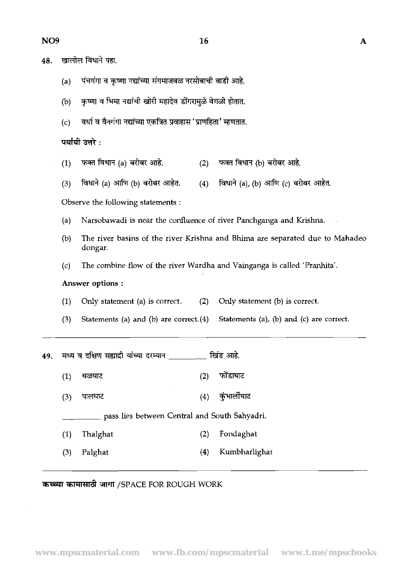| ٠ | i |
|---|---|

| 48. |     | खालाल विधान पहा.                                                 |     |                                     |
|-----|-----|------------------------------------------------------------------|-----|-------------------------------------|
|     | (a) | पंचगंगा व कृष्णा नद्यांच्या संगमाजवळ नरसोबाची वाडी आहे.          |     |                                     |
|     | (b) | कृष्णा व भिमा नद्यांची खोरी महादेव डोंगरामुळे वेगळी होतात.       |     |                                     |
|     | (c) | वर्धा व वैनगंगा नद्यांच्या एकत्रित प्रवाहास 'प्राणहिता' म्हणतात. |     |                                     |
|     |     | पर्यायी उत्तरे :                                                 |     |                                     |
|     | (1) | फक्त विधान (a) बरोबर आहे.                                        | (2) | फक्त विधान (b) बरोबर आहे.           |
|     | (3) | विधाने (a) आणि (b) बरोबर आहेत.                                   | (4) | विधाने (a), (b) आणि (c) बरोबर आहेत. |
|     |     | Observe the following statements :                               |     |                                     |

- (a) Narsobawadi is near the confluence of river Panchganga and Krishna.
- (b) The river basins of the river Krishna and Bhima are separated due to Mahadeo dongar.
- (c) The combine flow of the river Wardha and Vainganga is called 'Pranhita'.

### Answer options :

- (1) Only statement (a) is correct. (2) Only statement (b) is correct.
- **(3)** Statements (a) **and** (b) are correct.(4) Statements (a), (b) and (c) are correct.

|     | (3) | Statements (a) and (b) are correct. $(4)$ Statements (a), (1) |     |               |
|-----|-----|---------------------------------------------------------------|-----|---------------|
| 49. |     | मध्य व दक्षिण सह्यादी यांच्या दरम्यान ________ खिंड आहे.      |     |               |
|     | (1) | थळघाट                                                         | (2) | फोंडाघाट      |
|     | (3) | पालघाट                                                        | (4) | कुंभार्लीघाट  |
|     |     | pass lies between Central and South Sahyadri.                 |     |               |
|     | (1) | Thalghat                                                      | (2) | Fondaghat     |
|     | (3) | Palghat                                                       | (4) | Kumbharlighat |

# **कच्च्या कामासाठी जागा /SPACE FOR ROUGH WORK**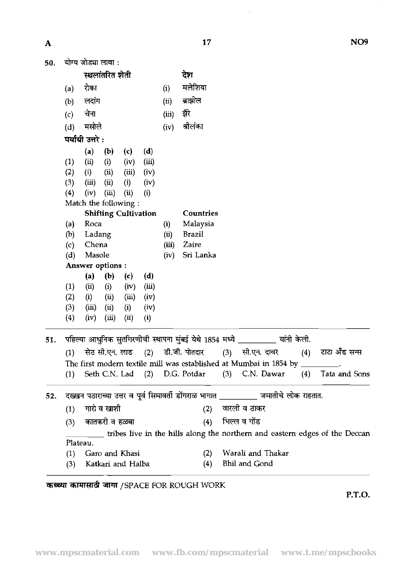$\hat{\phi}$ 

 $\sim 10^7$ 

 $\mathbf{A}$ 

| A   |                  |                                                                                    |                 |                             |       |       | 17            |                                                                               | NO <sub>9</sub>                                                                  |
|-----|------------------|------------------------------------------------------------------------------------|-----------------|-----------------------------|-------|-------|---------------|-------------------------------------------------------------------------------|----------------------------------------------------------------------------------|
| 50. |                  | योग्य जोड्या लावा :                                                                |                 |                             |       |       |               |                                                                               |                                                                                  |
|     |                  |                                                                                    | स्थलांतरित शेती |                             |       |       | देश           |                                                                               |                                                                                  |
|     | (a)              | रोका                                                                               |                 |                             |       | (i)   | मलेशिया       |                                                                               |                                                                                  |
|     |                  | लदांग                                                                              |                 |                             |       | (ii)  | बाझील         |                                                                               |                                                                                  |
|     | (b)              |                                                                                    |                 |                             |       |       |               |                                                                               |                                                                                  |
|     | (c)              | चेना                                                                               |                 |                             | (iii) | दौरे  |               |                                                                               |                                                                                  |
|     | (d)              | मसोले                                                                              |                 |                             |       | (iv)  | त्रीलंका      |                                                                               |                                                                                  |
|     |                  | पर्यायी उत्तरे :                                                                   |                 |                             |       |       |               |                                                                               |                                                                                  |
|     |                  | (a)                                                                                | (b)             | (c)                         | (d)   |       |               |                                                                               |                                                                                  |
|     | (1)              | (ii)                                                                               | (i)             | (iv)                        | (iii) |       |               |                                                                               |                                                                                  |
|     | (2)              | (i)                                                                                | (ii)            | (iii)                       | (iv)  |       |               |                                                                               |                                                                                  |
|     | (3)              | (iii)<br>(iv)                                                                      | (ii)            | (i)                         | (iv)  |       |               |                                                                               |                                                                                  |
|     | (4)              | Match the following:                                                               | (iii)           | (i)                         | (i)   |       |               |                                                                               |                                                                                  |
|     |                  |                                                                                    |                 | <b>Shifting Cultivation</b> |       |       | Countries     |                                                                               |                                                                                  |
|     | (a)              | Roca                                                                               |                 |                             |       | (i)   | Malaysia      |                                                                               |                                                                                  |
|     | (b)              | Ladang                                                                             |                 |                             |       | (ii)  | <b>Brazil</b> |                                                                               |                                                                                  |
|     | (c)              | Chena                                                                              |                 |                             |       | (iii) | Zaire         |                                                                               |                                                                                  |
|     | (d)              | Masole                                                                             |                 |                             |       | (iv)  | Sri Lanka     |                                                                               |                                                                                  |
|     | Answer options : |                                                                                    |                 |                             |       |       |               |                                                                               |                                                                                  |
|     |                  | (a)                                                                                | (b)             | (c)                         | (d)   |       |               |                                                                               |                                                                                  |
|     | (1)              | (ii)                                                                               | (i)             | (iv)                        | (iii) |       |               |                                                                               |                                                                                  |
|     | (2)              | (i)                                                                                | (ii)            | (iii)                       | (iv)  |       |               |                                                                               |                                                                                  |
|     | (3)              | (iii)                                                                              | (ii)            | (i)                         | (iv)  |       |               |                                                                               |                                                                                  |
|     | $\left(4\right)$ | (iv)                                                                               | (iii)           | (ii)                        | (i)   |       |               |                                                                               |                                                                                  |
| 51. |                  |                                                                                    |                 |                             |       |       |               | पहिल्या आधुनिक सुतगिरणीची स्थापना मुंबई येथे 1854 मध्ये _________ यांनी केली. |                                                                                  |
|     | (1)              |                                                                                    |                 |                             |       |       |               |                                                                               | सेठ सी.एन. लाड (2) डी.जी. पोतदार (3) सी.एन. दावर (4) टाटा अँड सन्स               |
|     |                  |                                                                                    |                 |                             |       |       |               | The first modern textile mill was established at Mumbai in 1854 by ________.  |                                                                                  |
|     | (1)              |                                                                                    |                 |                             |       |       |               | Seth C.N. Lad (2) D.G. Potdar (3) C.N. Dawar                                  | (4) Tata and Sons                                                                |
| 52. |                  | दखबन पठाराच्या उत्तर व पूर्व सिमावर्ती डोंगराळ भागात _________ जमातीचे लोक राहतात. |                 |                             |       |       |               |                                                                               |                                                                                  |
|     | (1)              |                                                                                    | गारो व खाशी     |                             |       |       |               | (2) वारली व ठाकर                                                              |                                                                                  |
|     | (3)              | कातकरी व हळबा                                                                      |                 |                             |       |       |               | (4) भिल्ल व गोंड                                                              |                                                                                  |
|     |                  |                                                                                    |                 |                             |       |       |               |                                                                               | $\_$ tribes live in the hills along the northern and eastern edges of the Deccan |
|     |                  | Plateau.                                                                           |                 |                             |       |       |               |                                                                               |                                                                                  |
|     | (1)              |                                                                                    |                 | Garo and Khasi              |       |       | (2)           | Warali and Thakar                                                             |                                                                                  |
|     | (3)              |                                                                                    |                 | Katkari and Halba           |       |       | (4)           | <b>Bhil and Gond</b>                                                          |                                                                                  |

कच्च्या कामासाठी जागा /SPACE FOR ROUGH WORK

**P.T.O.**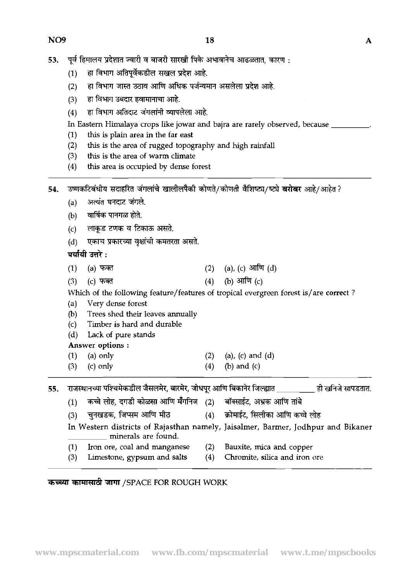- पूर्व हिमालय प्रदेशात ज्वारी व बाजरी सारखी पिके अभावानेच आढळतात, कारण : 53.
	- हा विभाग अतिपूर्वेकडील सखल प्रदेश आहे.  $(1)$
	- <u>(2)</u> हा विभाग जास्त उठाव आणि अधिक पर्जन्यमान असलेला प्रदेश आहे.
	- (3) हा विभाग उबदार हवामानाचा आहे.
	- $(4)$  हा विभाग अतिदाट जंगलांनी व्यापलेला आहे.
	- In Eastern Himalaya crops like jowar and bajra are rarely observed, because
	- (1) this is plain area in the far east<br>(2) this is the area of rugged topog
	- this is the area of rugged topography and high rainfall
	- (3) this is the area of warm climate
	- (4) this area is occupied by dense forest
- 54. उष्णकटिबंधीय सदाहरित जंगलांचे खालीलपैकी कोणते/कोणती वैशिष्ट्य/ष्ट्ये **बरोबर** आहे/आहेत ?
	- (a) अत्यंत घनदाट जंगले.
- (b) \* **TlTm\*.** 
	- (b) वार्षिक पानगळ होते.<br>(c) लाकुड टणक व टिकाऊ असते.
	- (d) एकाच प्रकारच्या वृक्षांची कमतरता असते.

**पर्यायी उत्तरे** :

- (a), (c) आणि  $(d)$  $(1)$  $(a)$  फक्त  $(2)$
- (b) आणि  $(c)$  $(c)$  फक्त  $(4)$  $(3)$

Which of the following feature/features of tropical evergreen forest is/are correct?

- (a) Very dense forest
- (b) Trees shed their leaves annually
- (c) Timber is hard and durable
- (d) Lack of pure stands

Answer options :

- (1) (a) only (2) (a), (c) and (d)
- (3) (c) only (4) (b) and (c)

55. राजस्थानच्या पश्चिमेकडील जैसलमेर, बारमेर, जोधपूर आणि बिकानेर जिल्ह्यात \_\_\_\_\_\_\_\_\_\_ ही खनिजे सापडतात.

- (1) d\*,~~mGlf+i (2) +-mT+z,~q~tfimTia
	- (1) कच्चे लोह, दगडी कोळसा आणि मेँगनिज (2) बॉक्साईट, अभ्रक आणि तांबे<br>(3) चुनखडक, जिप्सम आणि मीठ (4) क्रोमाईट, सिलीका आणि कच्चे लोह

In Western districts of Rajasthan namely, Jaisalmer, Barmer, Jodhpur and Bikaner minerals are found.

- (1) Iron ore, coal and manganese (2) Bauxite, mica and copper
	-
- (3) Limestone, gypsum and salts (4) Chromite, silica and iron ore

## कच्च्या कामासाठी जागा /SPACE FOR ROUGH WORK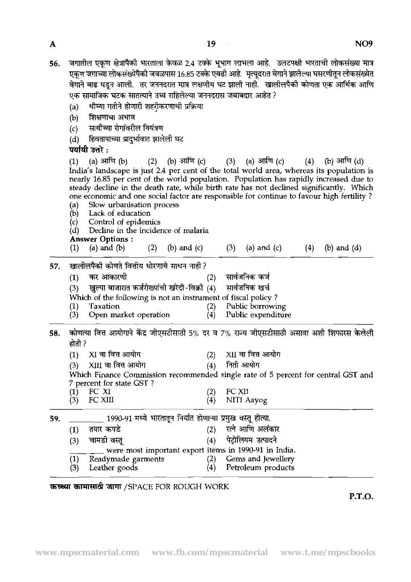| . . |
|-----|

जगातील एकण क्षेत्रापैकी भारताला केवळ 2.4 टक्के भूभाग लाभला आहे. उलटपक्षी भारताची लोकसंख्या मात्र 56. एकण जगाच्या लोकसंख्येपैकी जवळपास 16.85 टक्के एवढी आहे. मत्यदरात वेगाने झालेल्या घसरणीतन लोकसंख्येत वेगाने वाढ घडून आली. तर जननदरात मात्र लक्षणीय घट झाली नाही. खालीलपैकी कोणता एक आर्थिक आणि एक सामाजिक घटक सातत्याने उच्च राहिलेल्या जननदरास जबाबदार आहेत ?<br>(a) धीम्या गतीने होणारी शहरी़करणाची प्रक्रिया<br>(b) शिक्षणाचा अभाव **शिक्षणाचा अभाव** 

- (c) साथीच्या रोगांवरील नियंत्रण
- (d) ~~~m~€

# **पर्यायी उत्तरे:**

(d) हिवतापाच्या प्रादुर्भावात झालेली घट<br>**पर्यायी उत्तरे :**<br>(1) (a) आणि (b) (2) (b) आणि (c) (3) (a) आणि (c) (4) (b) आणि (d)<br>India's landscape is just 2.4 per cent of the total world area, whereas its population is nearly 16.85 per cent of the world population. Population has rapidly increased due to steady decline in the death rate, while birth rate has not declined significantly. Which one economic and one social factor are responsible for continue to favour high fertility ? (a) Slow urbanisation process

- Lack of education
- (c) Control of epidemics
- (d) Decline in the incidence of rnalaria

# **Answer Options** :

- (1) (a) and (b) (2) (b) and (c) (3) (a) and (c) (4) (b) and (d)
- 57. खालीलपैकी कोणते वित्तीय धोरणाचे साधन नाही ?

|     | one economic and one social factor are responsible for continue to |                 |     |                   |  |
|-----|--------------------------------------------------------------------|-----------------|-----|-------------------|--|
| (a) | Slow urbanisation process                                          |                 |     |                   |  |
| (b) | Lack of education                                                  |                 |     |                   |  |
|     | (c) Control of epidemics                                           |                 |     |                   |  |
| (d) | Decline in the incidence of malaria                                |                 |     |                   |  |
|     | <b>Answer Options:</b>                                             |                 |     |                   |  |
| (1) | (a) and $(b)$                                                      | (2) (b) and (c) |     | $(3)$ (a) and (c) |  |
|     | खालीलपैकी कोणते वित्तीय धोरणाचे साधन नाही ?                        |                 |     |                   |  |
| (1) | कर आकारणी                                                          |                 | (2) | सार्वजनिक कर्ज    |  |
| (3) | खुल्या बाजारात कर्जरोख्यांची खरेदी-विक्री (4) सार्वजनिक खर्च       |                 |     |                   |  |
|     | Which of the following is not an instrument of fiscal policy?      |                 |     |                   |  |

Which of the following is not an instrument of fiscal policy ?

- (1) Taxation (2) Public borrowing<br>(3) Open market operation (4) Public expenditure
	- Open market operation
- **58. कोणत्या वित्त आयोगाने केंद्र जीएसटीसाठी 5% दर व 7% राज्य जीएसटीसाठी असावा अशी शिफारस केलेली**  $\overrightarrow{6}$ ती ?
	-
- 
- (1) XI वा वित्त आयोग (2) XII वा वित्त आयोग<br>(3) XIII वा वित्त आयोग (4) निर्ता आयोग XIII वा वित्त आयोग

Which Finance Commission recommended single rate of 5 percent for central GST and 7 percent for state GST ?<br>(1) FC XI

(2) FC XI1 (4) NIT1 Aayog

59. 1990-91 **74** ficm \$hWi -?hT.

7 percent for state GST ?<br>
(1) FC XI<br>
(3) FC XII (4) NITI Aayog<br>
<u>(1) तयार कपडे (2) रत्ने आणि अलंकार</u><br>
(1) तयार कपडे (2) रत्ने आणि अलंकार<br>
(3) चामडी वस्तू (4) पेट्रोलियम उत्पादने (3) were most important export items (4) e in 1990-91 in India. तयार कपडे<br>चामडी वस्त yog<br>होत्या.<br>अलंकार<br>उत्पादने<br>91 in India.<br>d Jewellery (1) Readymade garments (2) Gems and Jewellery<br>(3) Leather goods (4) Petroleum products Petroleum products

कच्च्या कामासाठी जागा /SPACE FOR ROUGH WORK

**P.T.O.**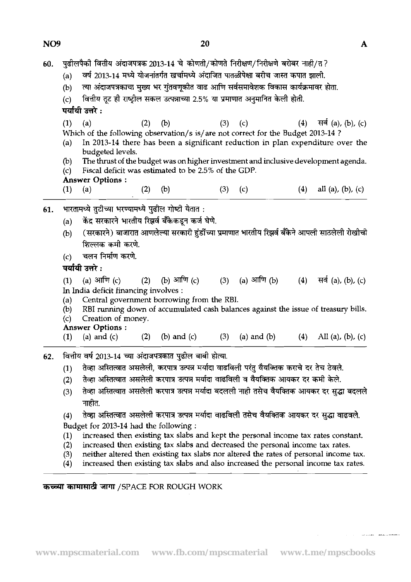60. पुढीलपैकी वित्तीय अंदाजपत्रक 2013-14 चे कोणती/कोणते निरीक्षण/निरीक्षणे बरोबर नाही/त ?<br>(a) वर्ष 2013-14 मध्ये योजनांतर्गत खर्चामध्ये अंदाजित पातळीपेक्षा बरीच जास्त कपात झाली.

- वर्ष 2013-14 मध्ये योजनांतर्गत खर्चामध्ये अंदाजित पातळीपेक्षा बरीच जास्त कपात झाली.
- (b) त्या अंदाजपत्रकाचा मुख्य भर गुंतवणूकीत वाढ आणि सर्वसमावेशक विकास कार्यक्रमावर होता.

पर्यायी उत्तरे :

- (1) (a) (2) (b) (3) (c) (4) सर्व (a), (b), (c) Which of the following observation/s is/are not correct for the Budget 2013-14 ?
- (a) In 2013-14 there has been a significant reduction in pIan expenditure over the budgeted levels.
- (b) The thrust of the budget was on higher investment and inclusive development agenda.<br>(c) Fiscal deficit was estimated to be 2.5% of the GDP. Fiscal deficit was estimated to be 2.5% of the GDP.
- 
- Answer Options :<br>(1) (a) (a)  $(2)$   $(b)$   $(3)$   $(c)$   $(4)$  all  $(a)$ ,  $(b)$ ,  $(c)$
- 61. भारतामध्ये तुटीच्या भरण्यामध्ये पुढील गोष्टी येतात:
	- (a) केंद्र सरकारने भारतीय रिझर्व बँकेकडून कर्ज घेणे.<br>(b) (सरकारने) बाजारात आणलेल्या सरकारी हंडींच्या
	- (सरकारने) बाजारात आणलेल्या सरकारी हंडींच्या प्रमाणात भारतीय रिझर्व बँकेने आपली साठलेली रोखीची **~~w?3.**  (c) rn m **w?3.** \*\*:
	-

(1) (a) आणि (c) (2) (b) आणि (c) (3) (a) आणि (b) (4) सर्व (a), (b), (c) In India deficit financing involves :

- (a) Central government borrowing from the RBI.<br>(b) RBI running down of accumulated cash balan
- (b) RBI running down of accumulated cash balances against the issue of treasury bills.<br>(c) Creation of money.
- Creation of money.

Answer Options :

- (1) (a) and (c) (2) (b) and (c) (3) (a) and (b) (4) All (a), (b), (c)
- <mark>62. वित्तीय वर्ष 2013-14 च्या अंदाजपत्रकात पुढ</mark>ील बाबी होत्या.<br>(1) तेव्हा अस्तित्वात असलेली, करपात्र उत्पन्न मर्यादा वाढ
	- तेव्हा अस्तित्वात असलेली, करपात्र उत्पन्न मर्यादा वाढविली परंतु वैयक्तिक कराचे दर तेच ठेवले.
	- (2) तेव्हा अस्तित्वात असलेली करपात्र उत्पन्न मर्यादा वाढविली व वैयक्तिक आयकर दर कमी केले.
	- (2) राष्ट्रा जास्तत्वात असलेला करनात्र उत्पन्न नवादा वाढावला व ववाकावर जावकर दर कमा कला.<br>(3) तेव्हा अस्तित्वात असलेली करपात्र उत्पन्न मर्यादा बदलली नाही तसेच वैयक्तिक आयकर दर सुद्धा बदल तव्हा आस<br>नाहीत.<br>-
	- (4) तेव्हा अस्तित्वात असलेली करपात्र उत्पन्न मर्यादा वाढविली तसेच वैयक्तिक आयकर दर सुद्धा वाढवले. Budget for 2013-14 had the following :
	-
	- (2) increased then existing tax slabs and decreased the personal income tax rates.<br>(3) neither altered then existing tax slabs nor altered the rates of personal income
	- (1) increased then existing tax slabs and kept the personal income tax rates constant.<br>
	(2) increased then existing tax slabs and decreased the personal income tax rates.<br>
	(3) neither altered then existing tax slabs nor al (3) neither altered then existing tax slabs nor altered the rates of personal income tax.<br>(4) increased then existing tax slabs and also increased the personal income tax rates.
		- increased then existing tax slabs and also increased the personal income tax rates.

## **WW&** /SPACE FOR ROUGH WORK

वित्तीय तूट ही राष्ट्रील सकल उत्पन्नाच्या 2.5% या प्रमाणात अनुमानित केली होती.  $(c)$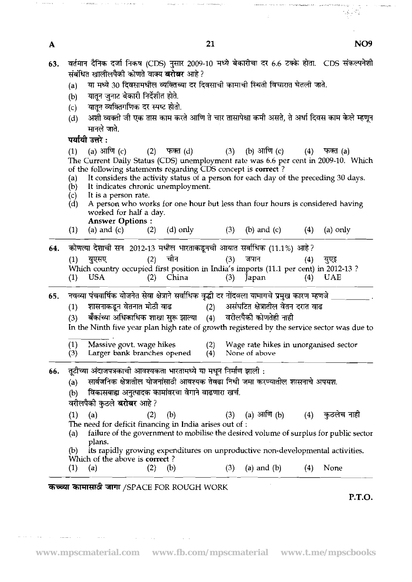**13. PR** 

.<br>The consideration of the consistence of

المتبدين والمحاجين

**Service and the property of the company's company's company's company's company's company's company** 

 $\label{eq:1} \rho_{\rm{imp}}(z) = - \gamma z^2$ 

 $\sim$  ....

In the Ninth five year plan high rate of growth registered by the service sector was due to

- (3) बकाच्या आधकाधिक शाखा सुरू झाल्या (4) वरालपका काणतहा नाहा<br>In the Ninth five year plan high rate of growth registered by the service sector was du<br>(1) Massive govt. wage hikes
- **(3)** Larger bank branches opened (4) None of above
- **66. तूटीच्या अंदाजपत्रकाची आवश्यकता भारतामध्ये या मधून निर्माण झाली :** 
	- (a) सार्वजनिक क्षेत्रातील योजनांसाठी आवश्यक तेवढा निधी जमा करण्यातील शासनाचे अपयश.
	- (b) विकासबाह्य अनुत्पादक कामांवरचा वेगाने वाढणारा खर्च.
	- वरीलपैकी कुठले **बरोबर** आहे ?
	- (a) राजना में राजाति गये तिलाले जानसभर तेनको गया गते का नारम्य जापसः<br>(b) विकासबाह्य अनुत्पादक कामांवरचा वेगाने वाढणारा खर्च.<br>वरीलपैकी कुठले **बरोबर** आहे ?<br>(1) (a) (2) (b) (3) (a) आणि (b) (4) कुठलेच नाही<br>The need for defici
	- (a) failure of the government to mobilise the desired volume of surplus for public sector plans.
	- @) its rapidly growing expenditures on unproductive non-developmental activities.
	- Which of the above is **correct**?
	- (1) (a)  $(2)$  (b)  $(3)$  (a) and (b)  $(4)$  None

# **कच्च्या कामासाठी जागा** /SPACE FOR ROUGH WORK

 $\mathcal{A}=\mathcal{A}=\mathcal{A}$  , where  $\mathcal{A}=\mathcal{A}$ 

**P.T.O.**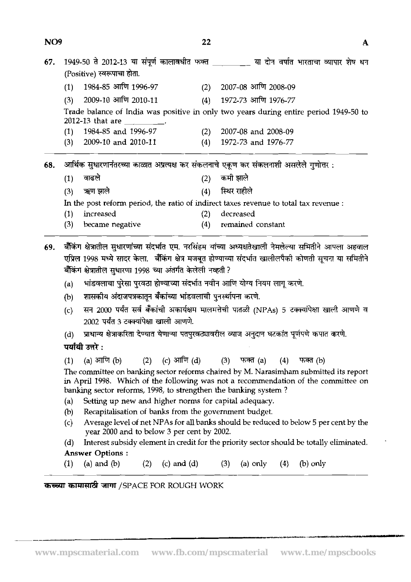| NO <sub>9</sub> |                                                                                            |                                                                                                                                                                                                                                                                                      | 22  |                                                                                             |  |  |  |
|-----------------|--------------------------------------------------------------------------------------------|--------------------------------------------------------------------------------------------------------------------------------------------------------------------------------------------------------------------------------------------------------------------------------------|-----|---------------------------------------------------------------------------------------------|--|--|--|
| 67.             | 1949-50 ते 2012-13 या संपूर्ण कालावधीत फक्त _________ या दोन वर्षात भारताचा व्यापार शेष धन |                                                                                                                                                                                                                                                                                      |     |                                                                                             |  |  |  |
|                 |                                                                                            | (Positive) स्वरूपाचा होता.                                                                                                                                                                                                                                                           |     |                                                                                             |  |  |  |
|                 | (1)                                                                                        | 1984-85 आणि 1996-97                                                                                                                                                                                                                                                                  |     | $(2)$ 2007-08 आणि 2008-09                                                                   |  |  |  |
|                 | (3)                                                                                        | 2009-10 आणि 2010-11                                                                                                                                                                                                                                                                  | (4) | 1972-73 आणि 1976-77                                                                         |  |  |  |
|                 |                                                                                            | 2012-13 that are _________.                                                                                                                                                                                                                                                          |     | Trade balance of India was positive in only two years during entire period 1949-50 to       |  |  |  |
|                 | (1)                                                                                        | 1984-85 and 1996-97                                                                                                                                                                                                                                                                  |     | $(2)$ 2007-08 and 2008-09                                                                   |  |  |  |
|                 | (3)                                                                                        | 2009-10 and 2010-11                                                                                                                                                                                                                                                                  | (4) | 1972-73 and 1976-77                                                                         |  |  |  |
| 68.             | आर्थिक सुधारणानंतरच्या काळात अप्रत्यक्ष कर संकलनाचे एकूण कर संकलनाशी असलेले गुणोत्तर :     |                                                                                                                                                                                                                                                                                      |     |                                                                                             |  |  |  |
|                 | (1)                                                                                        | वाढले                                                                                                                                                                                                                                                                                | (2) | कमी झाले                                                                                    |  |  |  |
|                 | (3)                                                                                        | ऋण झाले                                                                                                                                                                                                                                                                              | (4) | स्थिर राहीले                                                                                |  |  |  |
|                 |                                                                                            |                                                                                                                                                                                                                                                                                      |     | In the post reform period, the ratio of indirect taxes revenue to total tax revenue :       |  |  |  |
|                 | (1)                                                                                        | increased                                                                                                                                                                                                                                                                            | (2) | decreased                                                                                   |  |  |  |
|                 | (3)                                                                                        | became negative                                                                                                                                                                                                                                                                      | (4) | remained constant                                                                           |  |  |  |
| 69.             |                                                                                            | बँकिंग क्षेत्रातील सुधारणांच्या संदर्भात एम. नरसिंहम यांच्या अध्यक्षतेखाली नेमलेल्या समितीने आपला अहवाल<br>एप्रिल 1998 मध्ये सादर केला.  बैंकिंग क्षेत्र मजबूत होण्याच्या संदर्भात खालीलपैकी कोणती सूचना या समितीने<br>बैंकिंग क्षेत्रातील सुधारणा 1998 च्या अंतर्गत केलेली नव्हती ? |     |                                                                                             |  |  |  |
|                 | (a)                                                                                        | भांडवलाचा पुरेसा पुरवठा होण्याच्या संदर्भात नवीन आणि योग्य नियम लागू करणे.                                                                                                                                                                                                           |     |                                                                                             |  |  |  |
|                 | (b)                                                                                        | शासकीय अंदाजपत्रकातून बँकांच्या भांडवलाची पुनर्स्थापना करणे.                                                                                                                                                                                                                         |     |                                                                                             |  |  |  |
|                 | (c)                                                                                        | 2002 पर्यंत 3 टक्क्यांपेक्षा खाली आणणे.                                                                                                                                                                                                                                              |     | सन 2000 पर्यंत सर्व बँकांची अकार्यक्षम मालमत्तेची पातळी (NPAs) 5 टक्क्यांपेक्षा खाली आणणे व |  |  |  |

(d) प्राधान्य क्षेत्राकरिता देण्यात येणाऱ्या पतपुरवठ्यावरील व्याज अनुदान घटकांत पूर्णपणे कपात करणे.

**पर्यायी उत्तरे :**<br>(1) (a) आणि (b) (2) (c) आणि (d) (3) फक्त (a) (4) फक्त (b)<br>The committee on banking sector reforms chaired by M. Narasimham submitted its report

in April 1998. Which of the following was not a recommendation of the committee on banking sector reforms, 1998, to strengthen the banking system ?

- (a) Setting up new and higher norms for capital adequacy.
- (b) Recapitalisation of banks from the government budget.
- (c) Average level of net NPAs for all banks should be reduced to below 5 per cent by the year 2000 and to below 3 per cent by 2002.
- (d) Interest subsidy element in credit for the priority sector should be totally eliminated. Answer Options : (a) Interest subsidy element in credit for the priority sector should be totally<br> **Answer Options :**<br>
(1) (a) and (b) (2) (c) and (d) (3) (a) only (4) (b) only<br> **EXECUTE:**
- 

# **कच्च्या कामासाठी जागा** /SPACE FOR ROUGH WORK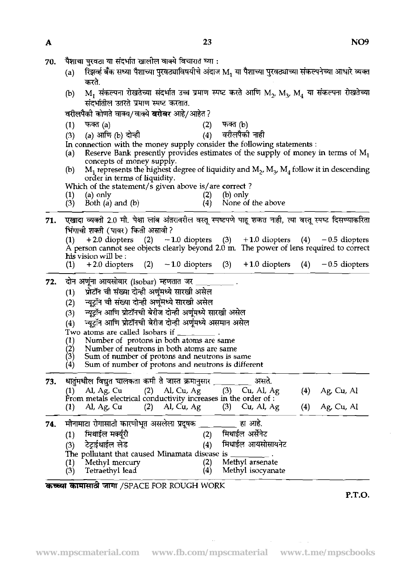| 70. पैशाचा पुरवठा या संदर्भात खालील वाक्ये विचारात घ्या : |  |  |  |
|-----------------------------------------------------------|--|--|--|
|                                                           |  |  |  |

- (a) हिज्ञव्हें बँक सध्या पैशाच्या पुरवठ्याविषयीचे अंदाज M, या पैशाच्या पुरवठ्याच्या संकल्पनेच्या आधारे व्यक्त करते.
- @) M,~~~~~T~~~T~~~M~,M~,M~T~~ (1) (a) (2) @) संदर्भातील उतरते प्रमाण स्पष्ट करतात. घ्या :<br>अंदाज M<sub>1</sub> यो पैशाच्या पुरवठ<br>ण स्पष्ट करते आणि M<sub>2</sub>, M<br>1?<br>(2) - फक्त (b)<br>(4) - वरीलपैको नाही<br>msider the following sta<br>stimates of the supply

वरीलपैकी कोणते वाक्य/वाक्ये बरोबर आहे/आहेत ?

- 
- *(3)*  फक्त (a)<br>(a) आणि (b) दोन्ही<br>meetion with the 1
- In connection with the money supply consider the following statements :

(a) Reserve Bank presently provides estimates of the supply of money in terms of  $M_1$ concepts of money supply.

(b) M<sub>1</sub> represents the highest degree of liquidity and M<sub>2</sub>, M<sub>3</sub>, M<sub>4</sub> follow it in descending order in terms of liquidity.

Which of the statement/s given above is/are correct?<br>(1) (a) only (2) (b) only

- 
- (1) (a) only (2) (b) only (2) (c)  $R_{1}^{(1)}$  (c)  $R_{2}^{(2)}$  (b) only (4)  $(3)$  Both (a) and (b)  $(4)$  None of the above
- 71. एखादा व्यक्ती 2.0 मी. पेक्षा लांब अंतरावरील वस्तु स्पष्टपणे पाह शकत नाही, त्या वस्तु स्पष्ट दिसण्याकरिता **भिंगाची शक्ती (पावर) किती असावी ?**

| ।भगाचा शक्ता ( पावर ) किता असावा ?                                                      |  |  |  |
|-----------------------------------------------------------------------------------------|--|--|--|
| $(1)$ + 2.0 diopters $(2)$ - 1.0 diopters $(3)$ + 1.0 diopters $(4)$ - 0.5 diopters     |  |  |  |
| A person cannot see objects clearly beyond 2.0 m. The power of lens required to correct |  |  |  |
| his vision will be :                                                                    |  |  |  |
| (1) $+2.0$ diopters (2) $-1.0$ diopters (3) $+1.0$ diopters (4) $-0.5$ diopters         |  |  |  |

# **72. दोन अणूंना आयसोबार (Isobar) म्हणतात जर**<br>i (1) प्रोटॉन ची संख्या दोन्ही अणुंमध्ये सारखी

- 
- (1) प्रोटॉन ची संख्या दोन्ही अणूंमध्ये सारखी असेल<br>(2) च्युट्रॉन ची संख्या दोन्ही अणूंमध्ये सारखी असेल न्यूटॉन ची संख्या दोन्ही अणूंमध्ये सारखी असेल
- 
- (3) न्यूट्रॉन आणि प्रोटॉनची बेरीज दोन्ही अणूंमध्ये सारखी असेल<br>(4) न्यूट्रॉन आणि प्रोटॉनची बेरीज दोन्ही अणूंमध्ये असमान असेल न्यूट्रॉन आणि प्रोटॉनची बेरीज दोन्ही अणूंमध्ये असमान असेल
- Two atoms are called Isobars if
- (1) Number of protons in both atoms are same<br>
(2) Number of neutrons in both atoms are same<br>
(3) Sum of number of protons and neutrons is so
- 
- (2) Number of neutrons in both atoms are same<br>  $\begin{array}{ll}\n\text{(3)} & \text{Sum of number of protons and neutrons is same} \\
\text{(4)} & \text{Sum of number of protons and neutrons is different.}\n\end{array}$
- (4) Sum of number of protons and neutrons is different

|     | Number of protons in both atoms are same<br>$\bf(1)$<br>$\binom{2}{3}$<br>Number of neutrons in both atoms are same<br>Sum of number of protons and neutrons is same<br>Sum of number of protons and neutrons is different<br>$\left( 4\right)$                                                                                                 |            |                          |
|-----|-------------------------------------------------------------------------------------------------------------------------------------------------------------------------------------------------------------------------------------------------------------------------------------------------------------------------------------------------|------------|--------------------------|
| 73. | धातुंमधील विद्युत चालकता कमी ते जास्त क्रमानुसार ____<br>असते.<br>(1) Al, Ag, Cu (2) Al, Cu, Ag (3) Cu, Al, Ag<br>From metals electrical conductivity increases in the order of :<br>Al, Ag, Cu (2) Al, Cu, Ag (3) Cu, Al, Ag<br>(1)                                                                                                            | (4)<br>(4) | Ag, Cu, Al<br>Ag, Cu, Al |
| 74. | मीनामाटा रोगासाठी कारणीभूत असलेला प्रदूषक ______<br>हा आहे.<br>मिथाईल अर्सेनेट<br>मिथाईल मक्यूरी<br>(2)<br>(1)<br>टेटाईथाईल लेड<br>मिथाईल आयसोसायनेट<br>(4)<br>(3)<br>The pollutant that caused Minamata disease is _____<br>Methyl arsenate<br>Methyl mercury<br>(2)<br>$\left(1\right)$<br>Tetraethyl lead<br>Methyl isocyanate<br>(4)<br>(3) |            |                          |

कच्च्या कामासाठी जागा /SPACE FOR ROUGH WORK

**P.T.O.**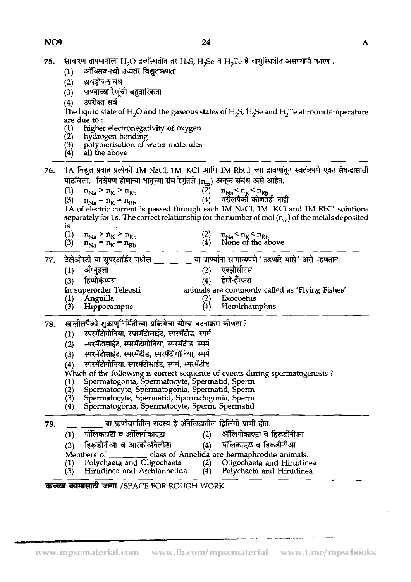**NO9** 

 $\bar{z}$ 

 $\bar{\beta}$ 

 $\mathbf{A}$ 

| 75. | साधारण तापमानाला H <sub>2</sub> O द्रवस्थितीत तर H <sub>2</sub> S, H <sub>2</sub> Se व H <sub>2</sub> Te हे वायुस्थितीत असण्याचे कारण:<br>ऑक्सिजनची उच्चतर विद्युतऋणता<br>(1)<br>हायड्रोजन बंध<br>(2)<br>पाण्याच्या रेणूंची बहुवारिकता<br>(3)<br>उपरोक्त सर्व<br>(4)<br>The liquid state of H <sub>2</sub> O and the gaseous states of H <sub>2</sub> S, H <sub>2</sub> Se and H <sub>2</sub> Te at room temperature<br>are due to:<br>higher electronegativity of oxygen<br>hydrogen bonding<br>polymerisation of water molecules<br>all the above                                                                                                                                                                      |  |
|-----|--------------------------------------------------------------------------------------------------------------------------------------------------------------------------------------------------------------------------------------------------------------------------------------------------------------------------------------------------------------------------------------------------------------------------------------------------------------------------------------------------------------------------------------------------------------------------------------------------------------------------------------------------------------------------------------------------------------------------|--|
| 76. | 1A विद्युत प्रवाह प्रत्येको 1M NaCl, 1M KCl आणि 1M RbCl च्या द्रावणांतून स्वतंत्रपणे एका सेकंदासाठी<br>पाठविला.  निक्षेपण होणाऱ्या धातूंच्या ग्रॅम रेणुंतले (n <sub>m</sub> ) अचूक संबंध असे आहेत.<br>(2)<br>$n_{\text{Na}}$ > $n_{\text{K}}$ > $n_{\text{Rb}}$<br>$n_{Na} < n_K < n_{Rb}$<br>(4)<br>वरीलपैको कोणतेही नाही<br>(3)<br>$n_{\text{Na}} = n_K = n_{\text{Rb}}$<br>1A of electric current is passed through each 1M NaCl, 1M KCl and 1M RbCl solutions<br>separately for 1s. The correct relationship for the number of mol $(n_m)$ of the metals deposited<br>1S<br>$n_{\text{Na}}$ > $n_{\text{K}}$ > $n_{\text{Rb}}$<br>$n_{Na}$ < $n_K$ < $n_{Rb}$<br>None of the above<br>(3)<br>$n_{Na} = n_K = n_{Rb}$ |  |
| 77. | टेलेओस्टी या सुपरऑर्डर मधील _<br>्या प्राण्यांना सामान्यपणे 'उडणारे मासे' असे म्हणतात.<br>एक्झोसीटस<br>ॲंग्युइला<br>(1)<br>हेमीऱ्हेम्फस<br>हिप्पोकॅम्पस<br>(4)<br>(3)<br>In superorder Teleosti<br>animals are commonly called as 'Flying Fishes'.<br>(2)<br>Exocoetus<br>Anguilla<br>$\left(4\right)$<br>Hemirhamphus<br>Hippocampus                                                                                                                                                                                                                                                                                                                                                                                    |  |
| 78. | खालीलपैकी शुक्राणुनिर्मितीच्या प्रक्रियेचा योग्य घटनाक्रम कोणता ?<br>स्परमॅटोगोनिया, स्परमॅटोसाईट, स्परमॅटीड, स्पर्म<br>$\left(1\right)$<br>स्परमॅटोसाईट, स्परमॅटोगोनिया, स्परमॅटीड, स्पर्म<br>(2)<br>स्परमॅटोसाईट, स्परमॅटीड, स्परमॅटोगोनिया, स्पर्म<br>(3)<br>स्परमॅटोगोनिया, स्परमॅटोसाईट, स्पर्म, स्परमॅटीड<br>(4)<br>Which of the following is correct sequence of events during spermatogenesis?<br>Spermatogonia, Spermatocyte, Spermatid, Sperm<br>Spermatocyte, Spermatogonia, Spermatid, Sperm<br>$\left( 2\right)$<br>Spermatocyte, Spermatid, Spermatogonia, Sperm<br>(3)<br>Spermatogonia, Spermatocyte, Sperm, Spermatid                                                                                   |  |
| 79. | या प्राणीवर्गातील सदस्य हे ॲंनेलिडातील द्विलिंगी प्राणी होत.<br>पॉलिकाएटा व ऑलिगोकाएटा<br>ऑलिगोकाएटा व हिरूडीनीआ<br>(1)<br>हिरूडीनीआ व आरकीॲनेलीडा<br>पॉलिकाएटा व हिरूडीनीआ<br>(4)<br>(3)<br>class of Annelida are hermaphrodite animals.<br>Members of<br>Polychaeta and Oligochaeta<br>Oligochaeta and Hirudinea<br>(2)<br>Hirudinea and Archiannelida<br>Polychaeta and Hirudinea<br>(3)<br>(4)                                                                                                                                                                                                                                                                                                                       |  |
|     | कच्च्या कामासाठी जागा /SPACE FOR ROUGH WORK                                                                                                                                                                                                                                                                                                                                                                                                                                                                                                                                                                                                                                                                              |  |

and the company of the company of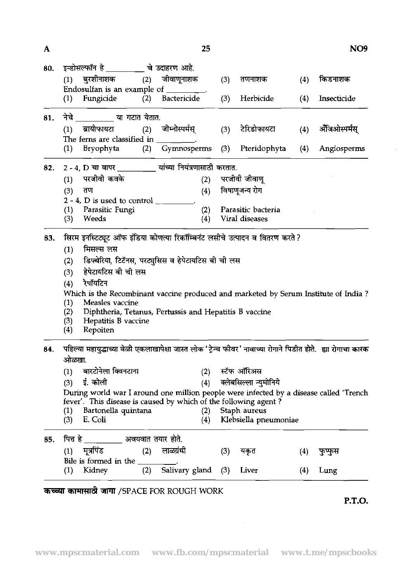| A          |                                                                                                               | 25                                       |     |                            |     | NO <sub>9</sub> |  |  |  |  |  |
|------------|---------------------------------------------------------------------------------------------------------------|------------------------------------------|-----|----------------------------|-----|-----------------|--|--|--|--|--|
| 80.        | इन्डोसल्फॉन हे _________ चे उदाहरण आहे.                                                                       |                                          |     |                            |     |                 |  |  |  |  |  |
|            | (1) बुरशीनाशक (2) जीवाणूनाशक                                                                                  |                                          | (3) | तणनाशक                     | (4) | किडनाशक         |  |  |  |  |  |
|            | Endosulfan is an example of ________.                                                                         |                                          |     |                            |     |                 |  |  |  |  |  |
|            | Fungicide<br>(2)<br>(1)                                                                                       | <b>Bactericide</b>                       | (3) | Herbicide                  | (4) | Insecticide     |  |  |  |  |  |
| 81.        | नेचे या गटात येतात.                                                                                           |                                          |     |                            |     |                 |  |  |  |  |  |
|            | ब्रायोफायटा<br>(1)                                                                                            | (2) जीम्नोस्पर्मस्                       | (3) | टेरिडोफायटा                | (4) | ॲंजिओस्पर्मस्   |  |  |  |  |  |
|            | The ferns are classified in $\_\_\_\_\_\_\_\$                                                                 |                                          |     |                            |     |                 |  |  |  |  |  |
|            | Bryophyta<br>(1)                                                                                              | (2) Gymnosperms (3) Pteridophyta         |     |                            | (4) | Angiosperms     |  |  |  |  |  |
| 82.        | 2-4, D चा वापर _________ यांच्या नियंत्रणासाठी करतात.                                                         |                                          |     |                            |     |                 |  |  |  |  |  |
|            | परजीवी कवके<br>(1)                                                                                            | (2)                                      |     | परजीवी जीवाणू              |     |                 |  |  |  |  |  |
|            | (3)<br>तण                                                                                                     | (4)                                      |     | विषाणूजन्य रोग             |     |                 |  |  |  |  |  |
|            |                                                                                                               | $2 - 4$ , D is used to control ________. |     |                            |     |                 |  |  |  |  |  |
|            | (1)<br>Parasitic Fungi                                                                                        | (2)                                      |     | Parasitic bacteria         |     |                 |  |  |  |  |  |
|            | Weeds<br>(3)                                                                                                  | (4)                                      |     | Viral diseases             |     |                 |  |  |  |  |  |
| 83.        | सिरम इनस्टिट्यूट ऑफ इंडिया कोणत्या रिकॉम्बिनंट लसीचे उत्पादन व वितरण करते ?                                   |                                          |     |                            |     |                 |  |  |  |  |  |
|            |                                                                                                               |                                          |     |                            |     |                 |  |  |  |  |  |
|            |                                                                                                               |                                          |     |                            |     |                 |  |  |  |  |  |
|            | मिसल्स लस<br>(1)                                                                                              |                                          |     |                            |     |                 |  |  |  |  |  |
|            | डिफ्थेरिया, टिटॅनस, परट्युसिस व हेपेटायटिस बी ची लस<br>(2)                                                    |                                          |     |                            |     |                 |  |  |  |  |  |
|            | हेपेटायटिस बी ची लस<br>(3)                                                                                    |                                          |     |                            |     |                 |  |  |  |  |  |
|            | रेपॉयटिन<br>(4)                                                                                               |                                          |     |                            |     |                 |  |  |  |  |  |
|            | Which is the Recombinant vaccine produced and marketed by Serum Institute of India?                           |                                          |     |                            |     |                 |  |  |  |  |  |
|            | Measles vaccine<br>(1)<br>Diphtheria, Tetanus, Pertussis and Hepatitis B vaccine                              |                                          |     |                            |     |                 |  |  |  |  |  |
|            | (2)<br>(3)<br>Hepatitis B vaccine                                                                             |                                          |     |                            |     |                 |  |  |  |  |  |
|            | Repoiten<br>(4)                                                                                               |                                          |     |                            |     |                 |  |  |  |  |  |
|            | पहिल्या महायुद्धाच्या वेळी एकलाखापेक्षा जास्त लोक 'ट्रेन्व फीवर' नावाच्या रोगाने पिडीत होते. ह्या रोगाचा कारक |                                          |     |                            |     |                 |  |  |  |  |  |
|            | ओळखा.                                                                                                         |                                          |     |                            |     |                 |  |  |  |  |  |
|            | बारटोनेला क्विनटाना<br>(1)                                                                                    |                                          |     | (2) स्टॅफ ऑरिअस            |     |                 |  |  |  |  |  |
|            | (3) ई. कोली                                                                                                   |                                          |     | (4) क्लेबसिल्ला न्युमोनिये |     |                 |  |  |  |  |  |
|            | During world war I around one million people were infected by a disease called 'Trench                        |                                          |     |                            |     |                 |  |  |  |  |  |
|            | fever'. This disease is caused by which of the following agent?                                               |                                          |     |                            |     |                 |  |  |  |  |  |
|            | Bartonella quintana<br>(1)                                                                                    | (2)                                      |     | Staph aureus               |     |                 |  |  |  |  |  |
|            | E. Coli<br>(3)                                                                                                | (4)                                      |     | Klebsiella pneumoniae      |     |                 |  |  |  |  |  |
|            | पित्त हे <u>__________</u> अवयवात तयार होते.                                                                  |                                          |     |                            |     |                 |  |  |  |  |  |
| 84.<br>85. | मूत्रपिंड (2) लाळग्रंथी<br>(1)                                                                                |                                          | (3) | यकृत                       | (4) | फुप्फुस         |  |  |  |  |  |
|            | Bile is formed in the $\frac{1}{(2)}$ .<br>(1) Kidney (2) Salivary gland                                      |                                          | (3) | Liver                      | (4) | Lung            |  |  |  |  |  |

**P.T.O.** 

 $\bar{z}$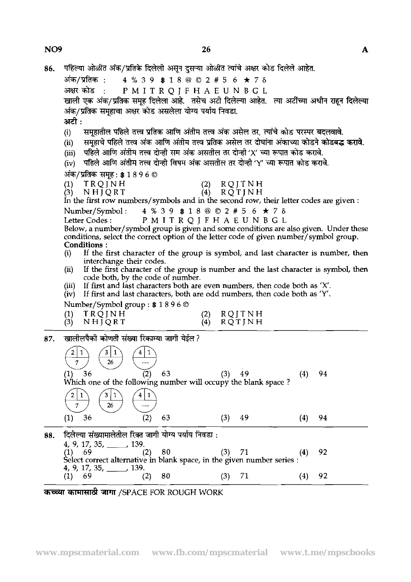**NO9** 

86. पहिल्या ओळीत अंक/प्रतिके दिलेली असुन दुसऱ्या ओळीत त्यांचे अक्षर कोड दिलेले आहेत. अंक/प्रतिक : 4 % 3 9 \$ 1 8 @ © 2 # 5 6 ★ 7 **δ**<br>अक्षर कोड : P M I T R O I F H A E U N B G L **am\*** : PMITRQJFHAEUNBGL खाली एक अंक/प्रतिक समूह दिलेला आहे. तसेच अटी दिलेल्या आहेत. त्या अटींच्या अधीन राहून दिलेल्या **+/\*vpmaw\*m-\$mr;?IT9\*l+m.**  &: अटी :<br>(i) समूहातील पहिले तत्त्व प्रतिक आणि अंतीम तत्त्व अंक असेल तर, त्यांचे कोड परस्पर बदलवावे.<br>(ii) समहाचे पहिले तत्त्व अंक आणि अंतीम तत्त्व प्रतिक असेल तर दोघांना अंकाच्या कोडने कोडबद्ध (ii) समूहाचे पहिले तत्त्व अंक आणि अंतीम तत्त्व प्रतिक असेल तर दोघांना अंकाच्या कोडने <mark>कोडबद्ध करावे.</mark><br>(iii) पहिले आणि अंतीम तत्त्व दोन्ही सम अंक असतील तर दोन्ही 'X' च्या रूपात कोड करावे. (iii) पहिले आणि अंतीम तत्त्व दोन्ही सम अंक असतील तर दोन्ही 'X' च्या रूपात कोड करावे.<br>(iv) पहिले आणि अंतीम तत्त्व दोन्ही विषम अंक असतील तर दोन्ही 'Y' च्या रूपात कोड करा<sup>,</sup> पहिले आणि अंतीम तत्त्व दोन्ही विषम अंक असतील तर दोन्ही 'Y' च्या रूपात कोड करावे. अंक/प्रतिक समूह : \$ 1 8 9 6 © **(I)'** TRQJ%H **(2)** RQJTNH **(3)** NHJQRT **(4)** RQTJNH In the first row numbers/symbols and in the second row, their letter codes are given : Number/Symbol: **4 % 3 9 \$ 1 8 @ © 2 # 5 6 ★ 7 δ**<br>Letter Codes: P M I T R O I F H A E U N B G L PMITRQJFHAEUNBGL Below, a number/symbol group is given and some conditions are also given. Under these conditions, select the correct option of the letter code of given number/symbol group. **Conditions :**<br>(i) If the f If the first character of the group is symbol, and last character is number, then interchange their codes. **(ii)** If the first character of the group is number and the last character is symbol, then code both, by the code of number. time the content of the content of the content of the content of the section of the section of the content of the content of the content of the content of the content of the content of the content of the content of the co (iii) If first and last characters both are even numbers, then code both as 'X'. (iv) If first and last characters, both are odd numbers, then code both as 'Y'. Number/Symbol group : \$1896 ©<br>
(1) TRQJNH<br>
(3) NHJQRT (4) F<br>
Tangled The Transfer of Transfer of Transfer of Transfer of Transfer of Transfer of Transfer of the following number will occup<br>
(1) 36 (2) 63 (3)<br>
(1) 36 (2) 6 Number/Symbol group : **\$1** 8 **9 6 0 (1)** TRQJNH **(2)** RQJTNH  $R\overline{Q}T$ JNH 87.  $\begin{array}{c|c|c|c|c|c|c|c|c} \hline 2 & 1 & 3 & 1 \ \hline 7 & 26 & & \dots \ \hline 1) & 36 & & & & \end{array}$  $(4)$ 94 **(1) 36 (2) 63 (3) 49**  Which one of the following number will occupy the blank space? 49  $(4)$ 94 88. **(4) 92**  (1) 69 (2) 80 (3) 71<br>
Select correct alternative in blank space, in the given number series :<br>
4, 9, 17, 35, \_\_\_\_\_, 139. (2) 80 (3) 71 (<br> **TRIFING SHUTH WORK COUGH WORK** (3) THE SERIE FOR ROUGH WORK

**(1) 69 (2)** 80 **(3) 71 (4) 92**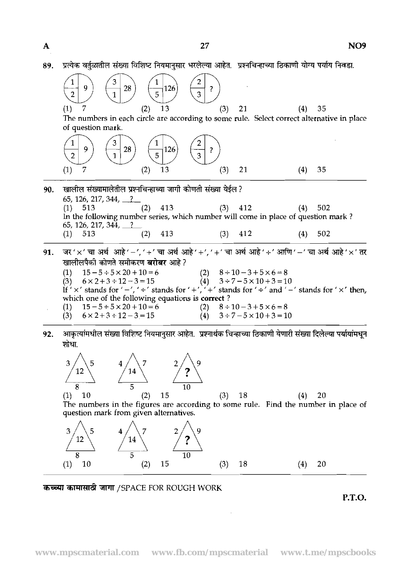| 89. | प्रत्येक वर्तुळातील संख्या विशिष्ट नियमानुसार भरलेल्या आहेत.  प्रश्नचिन्हाच्या ठिकाणी योग्य पर्याय निवडा.                                                                   |  |  |  |  |  |  |  |  |  |
|-----|-----------------------------------------------------------------------------------------------------------------------------------------------------------------------------|--|--|--|--|--|--|--|--|--|
|     | 28<br>126<br>9<br>?<br>$\overline{5}$<br>2<br>$\mathbf{1}$                                                                                                                  |  |  |  |  |  |  |  |  |  |
|     | 7<br>13<br>(3)<br>35<br>(1)<br>21<br>(4)<br>(2)                                                                                                                             |  |  |  |  |  |  |  |  |  |
|     | The numbers in each circle are according to some rule. Select correct alternative in place                                                                                  |  |  |  |  |  |  |  |  |  |
|     | of question mark.                                                                                                                                                           |  |  |  |  |  |  |  |  |  |
|     | 28<br>126<br>9<br>5<br>$\mathbf{1}$<br>3<br>$\overline{2}$                                                                                                                  |  |  |  |  |  |  |  |  |  |
|     | 7<br>13<br>(3)<br>35<br>(1)<br>21<br>(4)<br>(2)                                                                                                                             |  |  |  |  |  |  |  |  |  |
| 90. | खालील संख्यामालेतील प्रश्नचिन्हाच्या जागी कोणती संख्या येईल ?<br>65, 126, 217, 344, $\frac{?}{?}$                                                                           |  |  |  |  |  |  |  |  |  |
|     | 413<br>$(3)$ 412<br>(2)<br>502<br>$(1)$ 513<br>(4)<br>In the following number series, which number will come in place of question mark?<br>65, 126, 217, 344, $\frac{?}{?}$ |  |  |  |  |  |  |  |  |  |
|     | 413<br>$(3)$ 412<br>$(1)$ 513<br>(2)<br>502<br>(4)                                                                                                                          |  |  |  |  |  |  |  |  |  |
| 91. | जर 'x' चा अर्थ आहे' -', '+' चा अर्थ आहे' +', '+' चा अर्थ आहे' +' आणि ' -' चा अर्थ आहे' x' तर<br>खालीलपैकी कोणते समीकरण <b>बरोबर</b> आहे ?                                   |  |  |  |  |  |  |  |  |  |
|     | (1) $15-5 \div 5 \times 20 + 10 = 6$                                                                                                                                        |  |  |  |  |  |  |  |  |  |
|     | (2) $8 \div 10 - 3 + 5 \times 6 = 8$<br>(4) $3 \div 7 - 5 \times 10 + 3 = 10$<br>(3) $6 \times 2 + 3 \div 12 - 3 = 15$                                                      |  |  |  |  |  |  |  |  |  |
|     | If ' $\times$ ' stands for ' $-$ ', ' $\div$ ' stands for ' $+\prime$ , ' $+$ ' stands for ' $\div$ ' and ' $-$ ' stands for ' $\times$ ' then,                             |  |  |  |  |  |  |  |  |  |
|     | which one of the following equations is correct?<br>$15 - 5 \div 5 \times 20 + 10 = 6$<br>$(2)$ $8 \div 10 - 3 + 5 \times 6 = 8$<br>(1)                                     |  |  |  |  |  |  |  |  |  |
|     | (3) $6 \times 2 + 3 \div 12 - 3 = 15$<br>$(4)$ $3 \div 7 - 5 \times 10 + 3 = 10$                                                                                            |  |  |  |  |  |  |  |  |  |
| 92  | आकर्त्यांमधील संख्या विशिष्ट नियमानसार आहेत । पश्नार्थक चिन्हाच्या तिकाणी येणारी संख्या दिलेल्या पर्यायांमधन                                                                |  |  |  |  |  |  |  |  |  |

92. आकृत्यांमधील संख्या विशिष्ट नियमानुसार आहेत. प्रश्नार्थक चिन्हाच्या ठिकाणी येणारी संख्या दिलेल्या पर्यायांमधून  $\frac{1}{2}$ जोधा.





 $\ddot{\phantom{0}}$ 

**P.T.O.**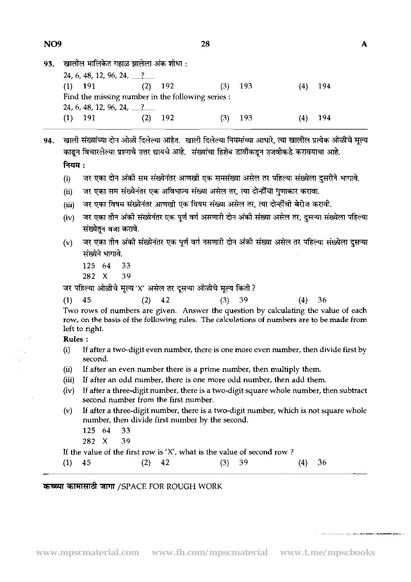|                                                   | 28    |     |     |     |     |
|---------------------------------------------------|-------|-----|-----|-----|-----|
| खालील मालिकेत गहाळ झालेला अंक शोधा :              |       |     |     |     |     |
| 24, 6, 48, 12, 96, 24, $\frac{?}{?}$              |       |     |     |     |     |
| $(1)$ 191 $(2)$                                   | - 192 | (3) | 193 | (4) | 194 |
| Find the missing number in the following series : |       |     |     |     |     |
| 24, 6, 48, 12, 96, 24, $\frac{?}{?}$              |       |     |     |     |     |
| - 191                                             | 192   |     | 193 |     | 194 |

खाली संख्यांच्या दोन ओळी दिलेल्या आहेत. खाली दिलेल्या नियमांच्या आधारे, त्या खालील प्रत्येक ओळीचे मूल्य 94. काढून विचारलेल्या प्रश्नाचे उत्तर द्यायचे आहे. संख्यांचा हिशेब डावीकडून उजवीकडे करावयाचा आहे. नियम $:$ 

- जर एका दोन अंकी सम संख्येनंतर आणखी एक समसंख्या असेल तर पहिल्या संख्येला दुसरीने भागावे.  $(i)$
- जर एका सम संख्येनंतर एक अविभाज्य संख्या असेल तर, त्या दोन्हींचा गणाकार करावा.  $(ii)$
- जर एका विषम संख्येनंतर आणखी एक विषम संख्या असेल तर, त्या दोन्हींची बेरीज करावी.  $(iii)$
- जर एका तीन अंकी संख्येनंतर एक पूर्ण वर्ग असणारी दोन अंकी संख्या असेल तर, दुसऱ्या संख्येला पहिल्या  $(iv)$ संख्येतन वजा करावे.
- जर एका तीन अंकी संख्येनंतर एक पूर्ण वर्ग नसणारी दोन अंकी संख्या असेल तर पहिल्या संख्येला दुसऱ्या  $(v)$ संख्येने भागावे.
	- 125 64 33
	- $282 \t X$ 39

जर पहिल्या ओळीचे मूल्य 'X' असेल तर दूसऱ्या ओळीचे मूल्य किती ?

| $(1)$ 45 |  | $(2)$ 42 |  | $(3)$ 39 |                                                                                           | $(4)$ 36 |  |
|----------|--|----------|--|----------|-------------------------------------------------------------------------------------------|----------|--|
|          |  |          |  |          | Two rows of numbers are given. Answer the question by calculating the value of each       |          |  |
|          |  |          |  |          | row, on the basis of the following rules. The calculations of numbers are to be made from |          |  |

left to right.

**Rules** :

- (i) If after a two-digit even number, there is one more even number, then divide first by second.
- (ii) If after an even number there is a prime number, then multiply them.
- (iii) If after an odd number, there is one more odd number, then add them.
- (iv) If after **a** three-digit number, there is a two-digit square whole number, then subtract second number from the first number.
- $(v)$  If after a three-digit number, there is a two-digit number, which is not square whole number, then divide first number by the second.
	- 125 64 33
	- 282 X 39

If the value of the first row is  $'X'$ , what is the value of second row ?

(1)  $45$  (2)  $42$  (3)  $39$  (4)  $36$ 

## **कच्च्या कामासाठी जागा /SPACE FOR ROUGH WORK**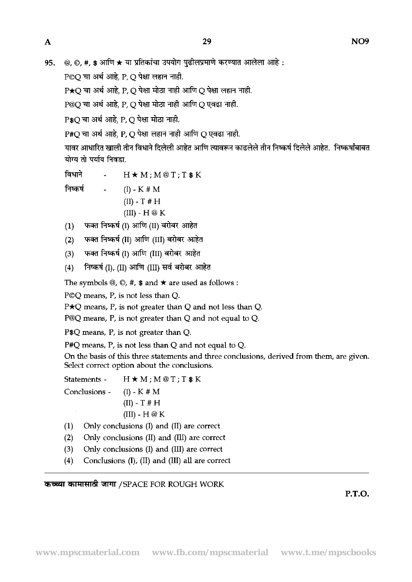@, ©, #, \$ आणि ★ या प्रतिकांचा उपयोग पुढीलप्रमाणे करण्यात आलेला आहे: 95.

 $P$ ©O चा अर्थ आहे. P, O पेक्षा लहान नाही.

 $P\star O$  चा अर्थ आहे. P. O पेक्षा मोठा नाही आणि O पेक्षा लहान नाही.

P@O चा अर्थ आहे. P. O पेक्षा मोठा नाही आणि O एवढा नाही.

P\$O चा अर्थ आहे. P.O पेक्षा मोठा नाही.

 $P#O$  चा अर्थ आहे. P. O पेक्षा लहान नाही आणि O एवढा नाही.

यावर आधारित खाली तीन विधाने दिलेली आहेत आणि त्यावरून काढलेले तीन निष्कर्ष दिलेले आहेत. निष्कर्षांबाबत योग्य तो पर्याय निवडा.

विधाने  $H \star M$ ;  $M@T$ ;  $T$  \$  $K$ निष्कर्ष  $(I)$  - K # M

 $(II)$  - T # H

(III) - H @ K)<br>(1) फक्त निष्कर्ष (I) आणि (II) बरोबर आहेत<br>(2) फक्त निष्कर्ष (II) आणि (III) बरोबर आहेत<br>(3) फक्त निष्कर्ष (I) आणि (III) बरोबर आहेत<br>(4) निष्कर्ष (I), (II) आणि (III) सर्व बरोबर आ

**Fi**জৰ্ষ (I), (II) आणि (III) सर्व बरोबर आहेत

The symbols  $\mathcal{Q}, \mathcal{Q}, \#$ ,  $\$$  and  $\star$  are used as follows :

POQ means, P, is not Iess than Q.

 $P\star Q$  means, P, is not greater than Q and not less than Q.

P@Q means, P, is not greater than Q and not equal to Q.

P\$Q means, P, is not greater than Q.

P#Q means, P, is not less than Q and not equal to Q.

On the basis of this three statements and three conclusions, derived from them, are given. Select correct option about the conclusions.

Statements -  $H \star M$ ;  $M @ T$ ;  $T$   $*$  K

Conclusions - (I) - K # M  $(II)$  - T # H  $(III) - H @ K$ 

(1) Only conclusions (I) and (11) are correct

(2) Only conclusions (11) and (111) are correct

- **(3)** Only conclusions (I) and (111) are correct
- (4) ConcIusions (I), (11) and (111) all are correct

कच्च्या कामासाठी जागा /SPACE FOR ROUGH WORK

**P.T.O.**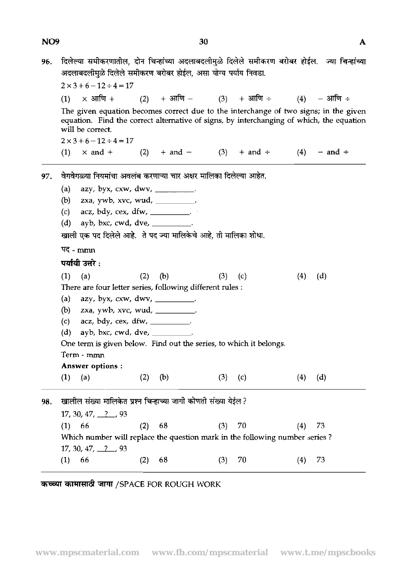### NO<sub>9</sub>

96. दिलेल्या समीकरणातील, दोन चिन्हांच्या अदलाबदलीमुळे दिलेले समीकरण बरोबर होईल. ज्या चिन्हांच्या ।दलल्या समाकरणाताल, दान**ाचन्हाच्या अदलाब**<br>अदलाबदलीमुळे दिलेले समीकरण बरोबर होईल, अ

|     |                                                                    |                                                        |     | अदलाबदलामुळ ादलल समाकरण बराबर हाइल, असा याग्य पयाय निवडा.                   |     |                   |     |                                                                                                                                                                                  |  |  |  |  |
|-----|--------------------------------------------------------------------|--------------------------------------------------------|-----|-----------------------------------------------------------------------------|-----|-------------------|-----|----------------------------------------------------------------------------------------------------------------------------------------------------------------------------------|--|--|--|--|
|     |                                                                    | $2 \times 3 + 6 - 12 \div 4 = 17$                      |     |                                                                             |     |                   |     |                                                                                                                                                                                  |  |  |  |  |
|     | (1)                                                                |                                                        |     | $\times$ आणि + (2) + आणि – (3) + आणि ÷ (4)                                  |     |                   |     | — आणि ÷                                                                                                                                                                          |  |  |  |  |
|     |                                                                    | will be correct.<br>$2 \times 3 + 6 - 12 \div 4 = 17$  |     |                                                                             |     |                   |     | The given equation becomes correct due to the interchange of two signs; in the given<br>equation. Find the correct alternative of signs, by interchanging of which, the equation |  |  |  |  |
|     |                                                                    |                                                        |     |                                                                             |     |                   |     |                                                                                                                                                                                  |  |  |  |  |
|     | (1)                                                                | $\times$ and $+$                                       |     | (2) $+$ and $-$ (3) $+$ and $\div$ (4)                                      |     |                   |     | $-$ and $\div$                                                                                                                                                                   |  |  |  |  |
| 97. |                                                                    |                                                        |     | वेगवेगळ्या नियमांचा अवलंब करणाऱ्या चार अक्षर मालिका दिलेल्या आहेत.          |     |                   |     |                                                                                                                                                                                  |  |  |  |  |
|     | (a)                                                                |                                                        |     | azy, byx, cxw, dwv, _________.                                              |     |                   |     |                                                                                                                                                                                  |  |  |  |  |
|     | (b)                                                                |                                                        |     | zxa, ywb, xvc, wud, _________.                                              |     |                   |     |                                                                                                                                                                                  |  |  |  |  |
|     | (c)                                                                |                                                        |     | acz, bdy, cex, dfw, $\_\_\_\_\_\_\_\_\_\_\$ .                               |     |                   |     |                                                                                                                                                                                  |  |  |  |  |
|     | (d)                                                                |                                                        |     | ayb, bxc, cwd, dve, $\_\_\_\_\_\_\_\_\_\_\_\_\_\_\_\_\_\_\_\_\_\_\_\_$ .    |     |                   |     |                                                                                                                                                                                  |  |  |  |  |
|     |                                                                    |                                                        |     | खाली एक पद दिलेले आहे. ते पद ज्या मालिकेचे आहे, ती मालिका शोधा.             |     |                   |     |                                                                                                                                                                                  |  |  |  |  |
|     | पद - mmn                                                           |                                                        |     |                                                                             |     |                   |     |                                                                                                                                                                                  |  |  |  |  |
|     |                                                                    | पर्यायी उत्तरे :                                       |     |                                                                             |     |                   |     |                                                                                                                                                                                  |  |  |  |  |
|     | (1)                                                                | (a)                                                    | (2) | (b)                                                                         | (3) | (c)               | (4) | (d)                                                                                                                                                                              |  |  |  |  |
|     |                                                                    |                                                        |     | There are four letter series, following different rules :                   |     |                   |     |                                                                                                                                                                                  |  |  |  |  |
|     | (a)                                                                |                                                        |     | azy, byx, $c x w$ , dwv, $\_\_\_\_\_\_\_\_\_\_\_\_\_\_\_\_\_\_\_\_\_$ .     |     |                   |     |                                                                                                                                                                                  |  |  |  |  |
|     | (b)                                                                |                                                        |     | zxa, ywb, xvc, wud, __________.                                             |     |                   |     |                                                                                                                                                                                  |  |  |  |  |
|     | (c)                                                                | acz, bdy, cex, dfw, $\_\_\_\_\_\_\_\_\_\_\$ .          |     |                                                                             |     |                   |     |                                                                                                                                                                                  |  |  |  |  |
|     | (d)<br>ayb, bxc, cwd, dve, $\_\_$ .                                |                                                        |     |                                                                             |     |                   |     |                                                                                                                                                                                  |  |  |  |  |
|     | One term is given below. Find out the series, to which it belongs. |                                                        |     |                                                                             |     |                   |     |                                                                                                                                                                                  |  |  |  |  |
|     | Term - mmn                                                         |                                                        |     |                                                                             |     |                   |     |                                                                                                                                                                                  |  |  |  |  |
|     |                                                                    | <b>Answer options:</b>                                 |     |                                                                             |     |                   |     |                                                                                                                                                                                  |  |  |  |  |
|     | (1)                                                                | (a)                                                    | (2) | (b)                                                                         | (3) | $\left( c\right)$ | (4) | (d)                                                                                                                                                                              |  |  |  |  |
| 98. | खालील संख्या मालिकेत प्रश्न चिन्हाच्या जागी कोणती संख्या येईल ?    |                                                        |     |                                                                             |     |                   |     |                                                                                                                                                                                  |  |  |  |  |
|     |                                                                    | $17, 30, 47, \underline{\hspace{1cm}}\phantom{1}2, 93$ |     |                                                                             |     |                   |     |                                                                                                                                                                                  |  |  |  |  |
|     |                                                                    |                                                        | (2) | 68                                                                          | (3) | 70                | (4) | 73                                                                                                                                                                               |  |  |  |  |
|     | (1)                                                                | 66                                                     |     |                                                                             |     |                   |     |                                                                                                                                                                                  |  |  |  |  |
|     |                                                                    |                                                        |     | Which number will replace the question mark in the following number series? |     |                   |     |                                                                                                                                                                                  |  |  |  |  |
|     |                                                                    | $17, 30, 47, \underline{\hspace{1cm}} 2, 93$           |     |                                                                             |     |                   |     |                                                                                                                                                                                  |  |  |  |  |

**कच्च्या कामासाठी जागा /SPACE FOR ROUGH WORK**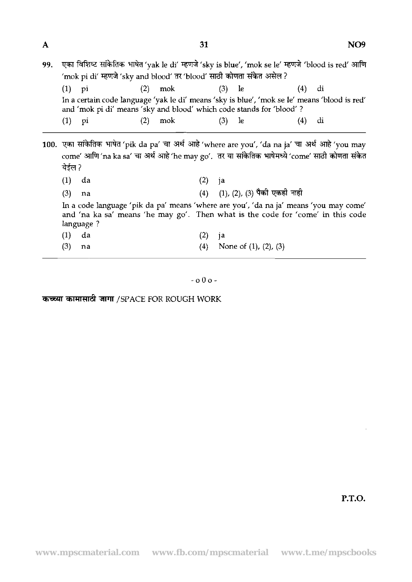| A   | 31                                                                                                                                                                                                                                     |                                                                                                                                                                                                          |     |                    |     |     |                               |  |     |    | NO <sub>9</sub> |  |  |
|-----|----------------------------------------------------------------------------------------------------------------------------------------------------------------------------------------------------------------------------------------|----------------------------------------------------------------------------------------------------------------------------------------------------------------------------------------------------------|-----|--------------------|-----|-----|-------------------------------|--|-----|----|-----------------|--|--|
| 99. | एका विशिष्ट सांकेतिक भाषेत 'yak le di' म्हणजे 'sky is blue', 'mok se le' म्हणजे 'blood is red' आणि<br>'mok pi di' म्हणजे 'sky and blood' तर 'blood' साठी कोणता संकेत असेल ?                                                            |                                                                                                                                                                                                          |     |                    |     |     |                               |  |     |    |                 |  |  |
|     | (1)                                                                                                                                                                                                                                    | pi                                                                                                                                                                                                       |     | $(2)$ mok $(3)$ le |     |     |                               |  | (4) | di |                 |  |  |
|     |                                                                                                                                                                                                                                        | In a certain code language 'yak le di' means 'sky is blue', 'mok se le' means 'blood is red'<br>and 'mok pi di' means 'sky and blood' which code stands for 'blood'?                                     |     |                    |     |     |                               |  |     |    |                 |  |  |
|     | $(1)$ pi                                                                                                                                                                                                                               |                                                                                                                                                                                                          | (2) | mok                |     | (3) | le.                           |  | (4) | di |                 |  |  |
|     | येईल?<br>(1)                                                                                                                                                                                                                           | 100. एका सांकेतिक भाषेत 'pik da pa' चा अर्थ आहे 'where are you', 'da na ja' चा अर्थ आहे 'you may<br>come' आणि 'na ka sa' चा अर्थ आहे 'he may go'. तर या सांकेतिक भाषेमध्ये 'come' साठी कोणता संकेत<br>da |     |                    | (2) | ja  |                               |  |     |    |                 |  |  |
|     |                                                                                                                                                                                                                                        |                                                                                                                                                                                                          |     |                    |     |     |                               |  |     |    |                 |  |  |
|     | (4) (1), (2), (3) पैकी एकही नाही<br>(3)<br>na<br>In a code language 'pik da pa' means 'where are you', 'da na ja' means 'you may come'<br>and 'na ka sa' means 'he may go'. Then what is the code for 'come' in this code<br>language? |                                                                                                                                                                                                          |     |                    |     |     |                               |  |     |    |                 |  |  |
|     | (1)                                                                                                                                                                                                                                    | da                                                                                                                                                                                                       |     |                    | (2) | ja  |                               |  |     |    |                 |  |  |
|     | (3)                                                                                                                                                                                                                                    | na                                                                                                                                                                                                       |     |                    | (4) |     | None of $(1)$ , $(2)$ , $(3)$ |  |     |    |                 |  |  |
|     |                                                                                                                                                                                                                                        |                                                                                                                                                                                                          |     |                    |     |     |                               |  |     |    |                 |  |  |

-000-

कच्च्या कामासाठी जागा /SPACE FOR ROUGH WORK

P.T.O.

J.